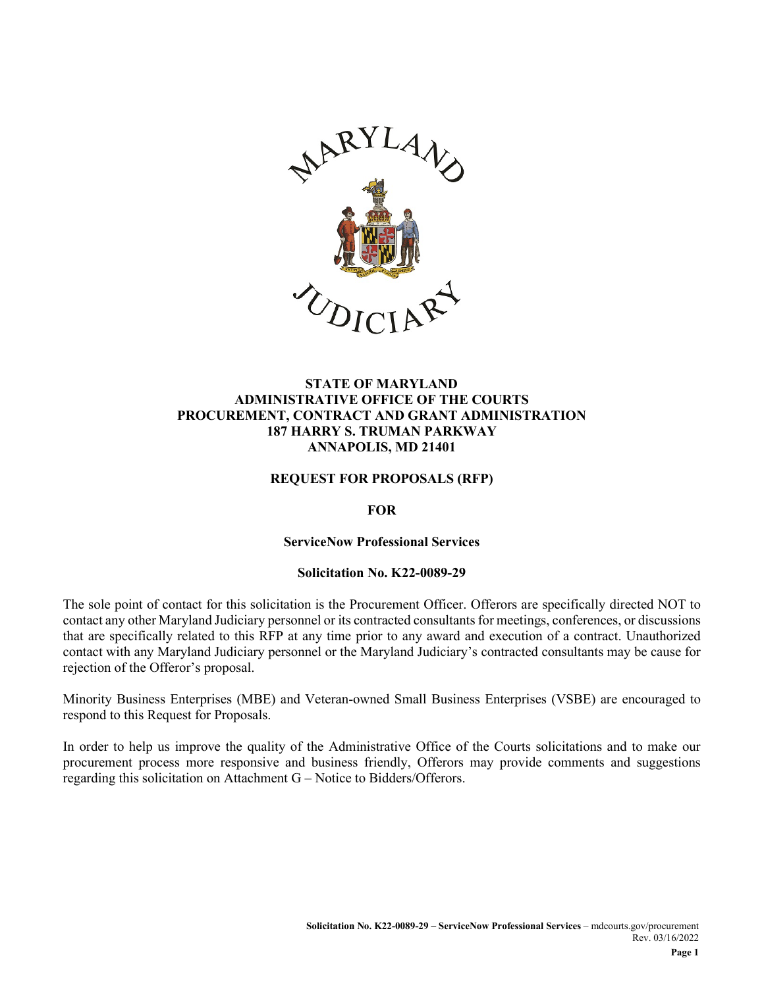

#### **STATE OF MARYLAND ADMINISTRATIVE OFFICE OF THE COURTS PROCUREMENT, CONTRACT AND GRANT ADMINISTRATION 187 HARRY S. TRUMAN PARKWAY ANNAPOLIS, MD 21401**

#### **REQUEST FOR PROPOSALS (RFP)**

#### **FOR**

#### **ServiceNow Professional Services**

#### **Solicitation No. K22-0089-29**

The sole point of contact for this solicitation is the Procurement Officer. Offerors are specifically directed NOT to contact any other Maryland Judiciary personnel or its contracted consultants for meetings, conferences, or discussions that are specifically related to this RFP at any time prior to any award and execution of a contract. Unauthorized contact with any Maryland Judiciary personnel or the Maryland Judiciary's contracted consultants may be cause for rejection of the Offeror's proposal.

Minority Business Enterprises (MBE) and Veteran-owned Small Business Enterprises (VSBE) are encouraged to respond to this Request for Proposals.

In order to help us improve the quality of the Administrative Office of the Courts solicitations and to make our procurement process more responsive and business friendly, Offerors may provide comments and suggestions regarding this solicitation on Attachment G – Notice to Bidders/Offerors.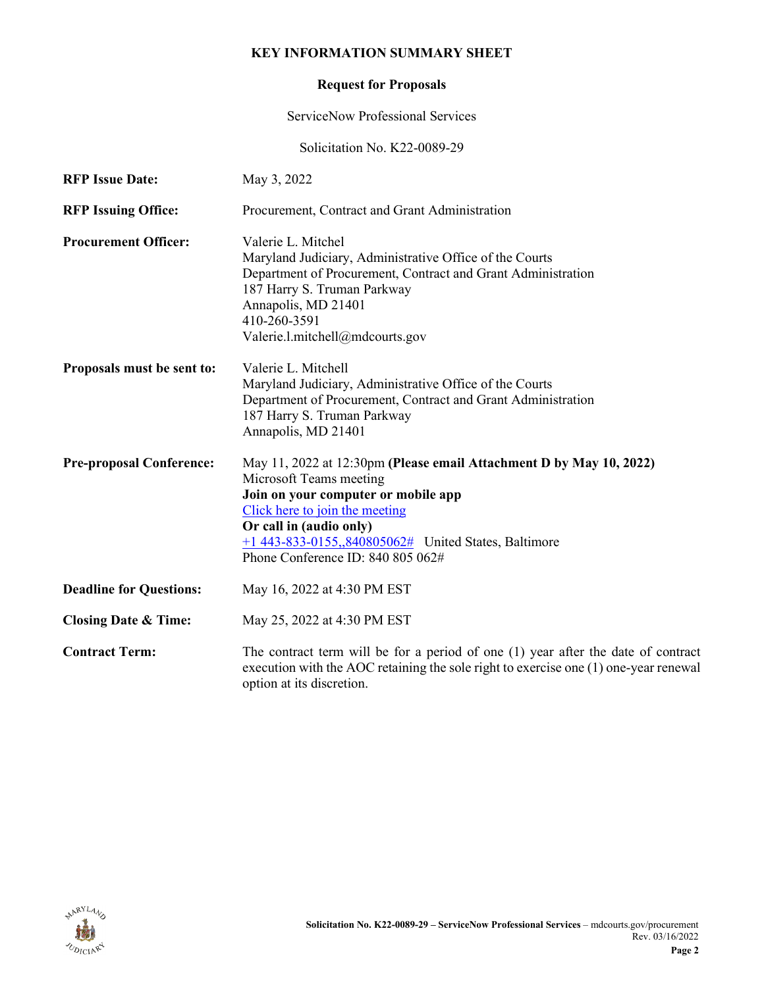#### **KEY INFORMATION SUMMARY SHEET**

## **Request for Proposals**

ServiceNow Professional Services

Solicitation No. K22-0089-29

| <b>RFP Issue Date:</b>          | May 3, 2022                                                                                                                                                                                                                                                                                       |  |
|---------------------------------|---------------------------------------------------------------------------------------------------------------------------------------------------------------------------------------------------------------------------------------------------------------------------------------------------|--|
| <b>RFP Issuing Office:</b>      | Procurement, Contract and Grant Administration                                                                                                                                                                                                                                                    |  |
| <b>Procurement Officer:</b>     | Valerie L. Mitchel<br>Maryland Judiciary, Administrative Office of the Courts<br>Department of Procurement, Contract and Grant Administration<br>187 Harry S. Truman Parkway<br>Annapolis, MD 21401<br>410-260-3591<br>Valerie.l.mitchell@mdcourts.gov                                            |  |
| Proposals must be sent to:      | Valerie L. Mitchell<br>Maryland Judiciary, Administrative Office of the Courts<br>Department of Procurement, Contract and Grant Administration<br>187 Harry S. Truman Parkway<br>Annapolis, MD 21401                                                                                              |  |
| <b>Pre-proposal Conference:</b> | May 11, 2022 at 12:30pm (Please email Attachment D by May 10, 2022)<br>Microsoft Teams meeting<br>Join on your computer or mobile app<br>Click here to join the meeting<br>Or call in (audio only)<br>$+1$ 443-833-0155,,840805062# United States, Baltimore<br>Phone Conference ID: 840 805 062# |  |
| <b>Deadline for Questions:</b>  | May 16, 2022 at 4:30 PM EST                                                                                                                                                                                                                                                                       |  |
| <b>Closing Date &amp; Time:</b> | May 25, 2022 at 4:30 PM EST                                                                                                                                                                                                                                                                       |  |
| <b>Contract Term:</b>           | The contract term will be for a period of one (1) year after the date of contract<br>execution with the AOC retaining the sole right to exercise one (1) one-year renewal<br>option at its discretion.                                                                                            |  |

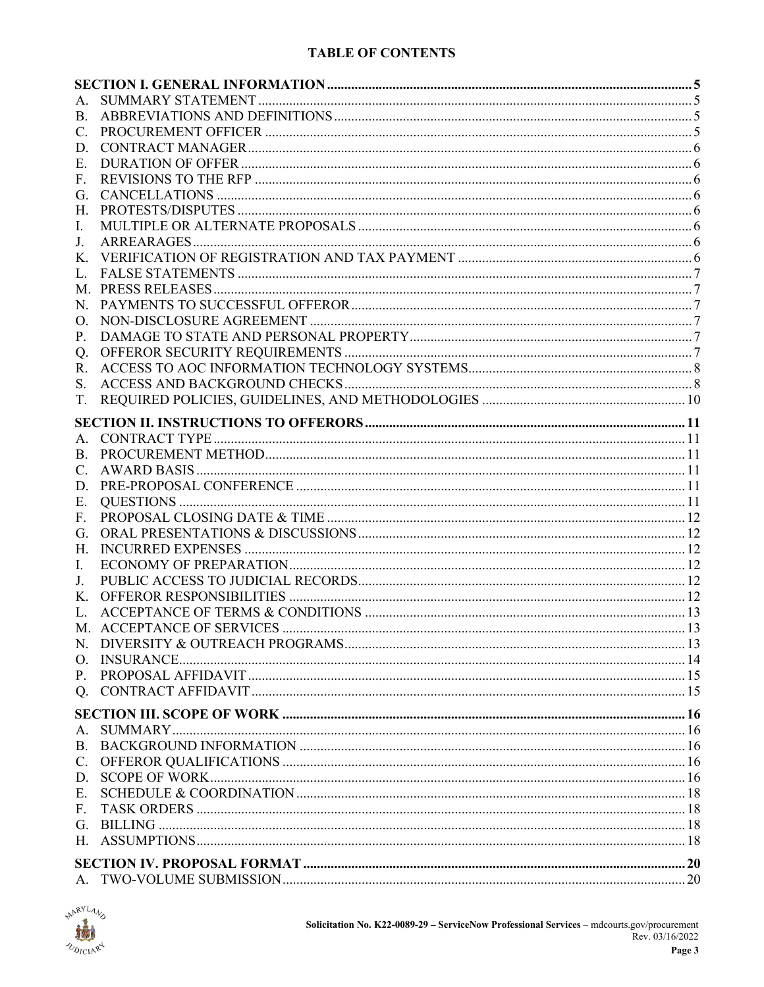### **TABLE OF CONTENTS**

| Α.          |  |
|-------------|--|
| <b>B.</b>   |  |
| C.          |  |
| D.          |  |
| Е.          |  |
| F.          |  |
| G.          |  |
| Н.          |  |
| I.          |  |
| J.          |  |
| $K_{\cdot}$ |  |
| L.          |  |
|             |  |
|             |  |
| O.          |  |
| Р.          |  |
| Q.          |  |
| R.          |  |
| S.          |  |
| T.          |  |
|             |  |
|             |  |
| А.          |  |
| В.          |  |
| C.          |  |
| D.          |  |
| Е.          |  |
| F.          |  |
| G.          |  |
| Н.          |  |
| Ι.          |  |
| J.          |  |
| К.          |  |
| L.          |  |
|             |  |
|             |  |
|             |  |
|             |  |
|             |  |
|             |  |
| A.          |  |
| B.          |  |
| $C$ .       |  |
| D.          |  |
| Ε.          |  |
| F.          |  |
| G.          |  |
|             |  |
|             |  |
|             |  |
|             |  |

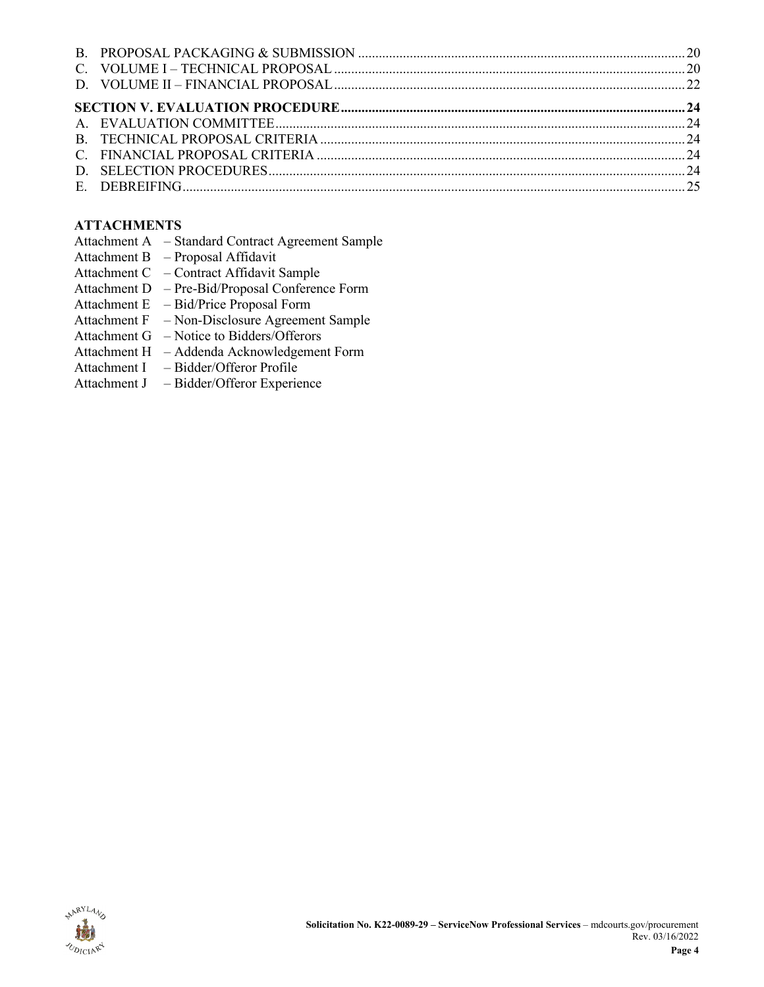## **ATTACHMENTS**

- Attachment A Standard Contract Agreement Sample
- Attachment B Proposal Affidavit
- Attachment C Contract Affidavit Sample
- Attachment D Pre-Bid/Proposal Conference Form
- Attachment E Bid/Price Proposal Form
- Attachment F Non-Disclosure Agreement Sample
- Attachment G Notice to Bidders/Offerors
- Attachment H Addenda Acknowledgement Form
- Attachment I Bidder/Offeror Profile
- Attachment J Bidder/Offeror Experience

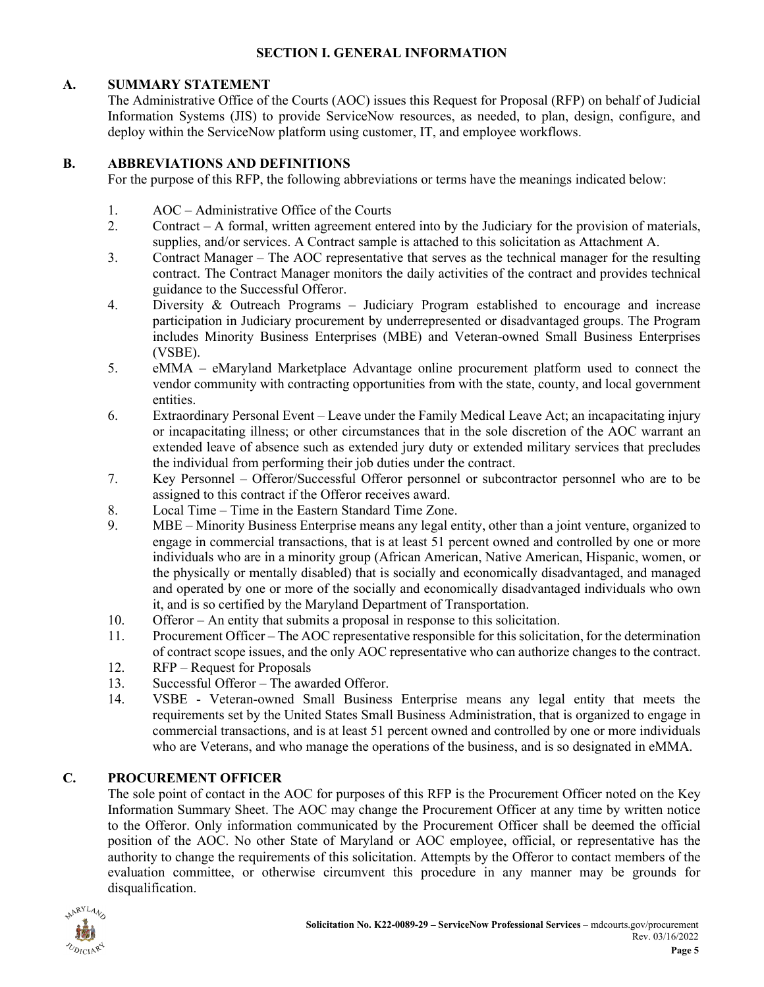#### **SECTION I. GENERAL INFORMATION**

### <span id="page-4-1"></span><span id="page-4-0"></span>**A. SUMMARY STATEMENT**

The Administrative Office of the Courts (AOC) issues this Request for Proposal (RFP) on behalf of Judicial Information Systems (JIS) to provide ServiceNow resources, as needed, to plan, design, configure, and deploy within the ServiceNow platform using customer, IT, and employee workflows.

#### <span id="page-4-2"></span>**B. ABBREVIATIONS AND DEFINITIONS**

For the purpose of this RFP, the following abbreviations or terms have the meanings indicated below:

- 1. AOC Administrative Office of the Courts<br>2. Contract A formal, written agreement ent
- 2. Contract A formal, written agreement entered into by the Judiciary for the provision of materials, supplies, and/or services. A Contract sample is attached to this solicitation as Attachment A.
- 3. Contract Manager The AOC representative that serves as the technical manager for the resulting contract. The Contract Manager monitors the daily activities of the contract and provides technical guidance to the Successful Offeror.
- 4. Diversity & Outreach Programs Judiciary Program established to encourage and increase participation in Judiciary procurement by underrepresented or disadvantaged groups. The Program includes Minority Business Enterprises (MBE) and Veteran-owned Small Business Enterprises (VSBE).
- 5. eMMA eMaryland Marketplace Advantage online procurement platform used to connect the vendor community with contracting opportunities from with the state, county, and local government entities.
- 6. Extraordinary Personal Event Leave under the Family Medical Leave Act; an incapacitating injury or incapacitating illness; or other circumstances that in the sole discretion of the AOC warrant an extended leave of absence such as extended jury duty or extended military services that precludes the individual from performing their job duties under the contract.
- 7. Key Personnel Offeror/Successful Offeror personnel or subcontractor personnel who are to be assigned to this contract if the Offeror receives award.
- 8. Local Time Time in the Eastern Standard Time Zone.
- 9. MBE Minority Business Enterprise means any legal entity, other than a joint venture, organized to engage in commercial transactions, that is at least 51 percent owned and controlled by one or more individuals who are in a minority group (African American, Native American, Hispanic, women, or the physically or mentally disabled) that is socially and economically disadvantaged, and managed and operated by one or more of the socially and economically disadvantaged individuals who own it, and is so certified by the Maryland Department of Transportation.
- 10. Offeror An entity that submits a proposal in response to this solicitation.
- 11. Procurement Officer The AOC representative responsible for this solicitation, for the determination of contract scope issues, and the only AOC representative who can authorize changes to the contract.
- 12. RFP Request for Proposals
- 13. Successful Offeror The awarded Offeror.
- 14. VSBE Veteran-owned Small Business Enterprise means any legal entity that meets the requirements set by the United States Small Business Administration, that is organized to engage in commercial transactions, and is at least 51 percent owned and controlled by one or more individuals who are Veterans, and who manage the operations of the business, and is so designated in eMMA.

### <span id="page-4-3"></span>**C. PROCUREMENT OFFICER**

The sole point of contact in the AOC for purposes of this RFP is the Procurement Officer noted on the Key Information Summary Sheet. The AOC may change the Procurement Officer at any time by written notice to the Offeror. Only information communicated by the Procurement Officer shall be deemed the official position of the AOC. No other State of Maryland or AOC employee, official, or representative has the authority to change the requirements of this solicitation. Attempts by the Offeror to contact members of the evaluation committee, or otherwise circumvent this procedure in any manner may be grounds for disqualification.

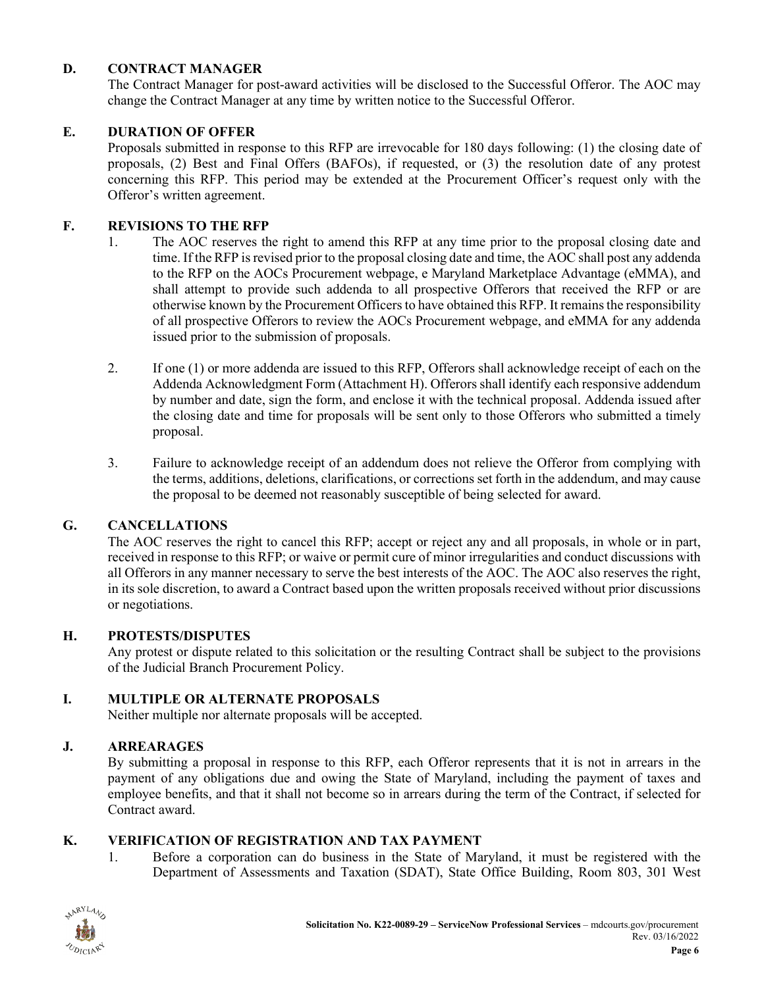### <span id="page-5-0"></span>**D. CONTRACT MANAGER**

The Contract Manager for post-award activities will be disclosed to the Successful Offeror. The AOC may change the Contract Manager at any time by written notice to the Successful Offeror.

### <span id="page-5-1"></span>**E. DURATION OF OFFER**

Proposals submitted in response to this RFP are irrevocable for 180 days following: (1) the closing date of proposals, (2) Best and Final Offers (BAFOs), if requested, or (3) the resolution date of any protest concerning this RFP. This period may be extended at the Procurement Officer's request only with the Offeror's written agreement.

#### <span id="page-5-2"></span>**F. REVISIONS TO THE RFP**

- 1. The AOC reserves the right to amend this RFP at any time prior to the proposal closing date and time. If the RFP is revised prior to the proposal closing date and time, the AOC shall post any addenda to the RFP on the AOCs Procurement webpage, e Maryland Marketplace Advantage (eMMA), and shall attempt to provide such addenda to all prospective Offerors that received the RFP or are otherwise known by the Procurement Officers to have obtained this RFP. It remains the responsibility of all prospective Offerors to review the AOCs Procurement webpage, and eMMA for any addenda issued prior to the submission of proposals.
- 2. If one (1) or more addenda are issued to this RFP, Offerors shall acknowledge receipt of each on the Addenda Acknowledgment Form (Attachment H). Offerors shall identify each responsive addendum by number and date, sign the form, and enclose it with the technical proposal. Addenda issued after the closing date and time for proposals will be sent only to those Offerors who submitted a timely proposal.
- 3. Failure to acknowledge receipt of an addendum does not relieve the Offeror from complying with the terms, additions, deletions, clarifications, or corrections set forth in the addendum, and may cause the proposal to be deemed not reasonably susceptible of being selected for award.

#### <span id="page-5-3"></span>**G. CANCELLATIONS**

The AOC reserves the right to cancel this RFP; accept or reject any and all proposals, in whole or in part, received in response to this RFP; or waive or permit cure of minor irregularities and conduct discussions with all Offerors in any manner necessary to serve the best interests of the AOC. The AOC also reserves the right, in its sole discretion, to award a Contract based upon the written proposals received without prior discussions or negotiations.

#### <span id="page-5-4"></span>**H. PROTESTS/DISPUTES**

Any protest or dispute related to this solicitation or the resulting Contract shall be subject to the provisions of the Judicial Branch Procurement Policy.

### <span id="page-5-5"></span>**I. MULTIPLE OR ALTERNATE PROPOSALS**

Neither multiple nor alternate proposals will be accepted.

#### <span id="page-5-6"></span>**J. ARREARAGES**

By submitting a proposal in response to this RFP, each Offeror represents that it is not in arrears in the payment of any obligations due and owing the State of Maryland, including the payment of taxes and employee benefits, and that it shall not become so in arrears during the term of the Contract, if selected for Contract award.

#### <span id="page-5-7"></span>**K. VERIFICATION OF REGISTRATION AND TAX PAYMENT**

1. Before a corporation can do business in the State of Maryland, it must be registered with the Department of Assessments and Taxation (SDAT), State Office Building, Room 803, 301 West

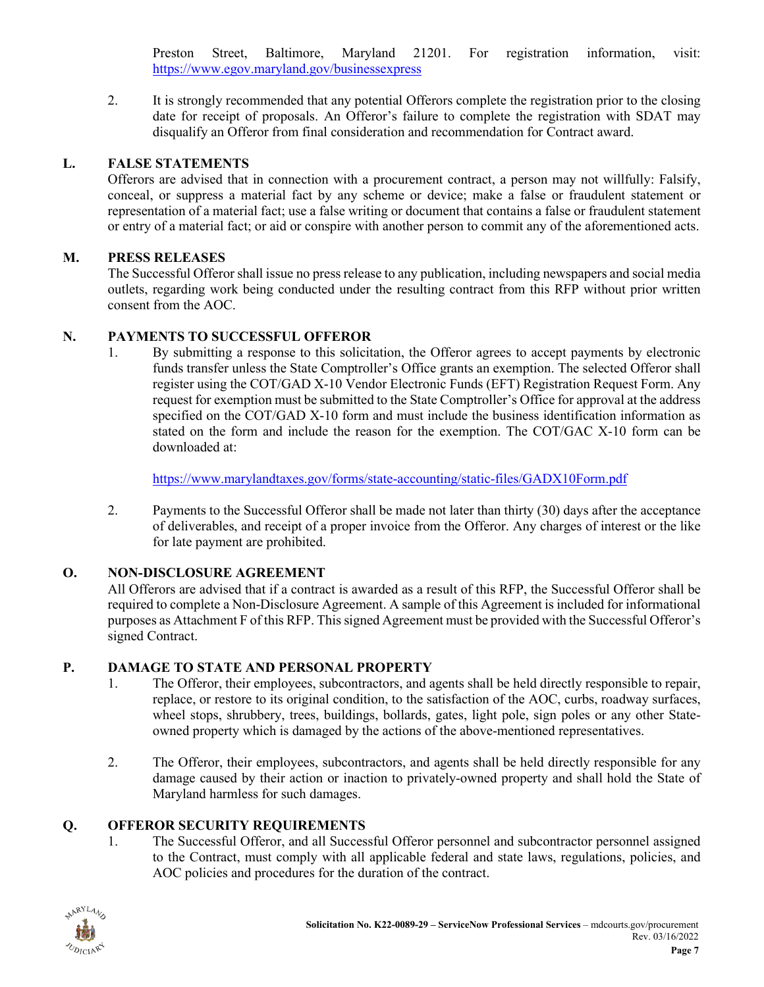Preston Street, Baltimore, Maryland 21201. For registration information, visit: <https://www.egov.maryland.gov/businessexpress>

2. It is strongly recommended that any potential Offerors complete the registration prior to the closing date for receipt of proposals. An Offeror's failure to complete the registration with SDAT may disqualify an Offeror from final consideration and recommendation for Contract award.

### <span id="page-6-0"></span>**L. FALSE STATEMENTS**

Offerors are advised that in connection with a procurement contract, a person may not willfully: Falsify, conceal, or suppress a material fact by any scheme or device; make a false or fraudulent statement or representation of a material fact; use a false writing or document that contains a false or fraudulent statement or entry of a material fact; or aid or conspire with another person to commit any of the aforementioned acts.

### <span id="page-6-1"></span>**M. PRESS RELEASES**

The Successful Offeror shall issue no press release to any publication, including newspapers and social media outlets, regarding work being conducted under the resulting contract from this RFP without prior written consent from the AOC.

### <span id="page-6-2"></span>**N. PAYMENTS TO SUCCESSFUL OFFEROR**

1. By submitting a response to this solicitation, the Offeror agrees to accept payments by electronic funds transfer unless the State Comptroller's Office grants an exemption. The selected Offeror shall register using the COT/GAD X-10 Vendor Electronic Funds (EFT) Registration Request Form. Any request for exemption must be submitted to the State Comptroller's Office for approval at the address specified on the COT/GAD X-10 form and must include the business identification information as stated on the form and include the reason for the exemption. The COT/GAC X-10 form can be downloaded at:

<https://www.marylandtaxes.gov/forms/state-accounting/static-files/GADX10Form.pdf>

2. Payments to the Successful Offeror shall be made not later than thirty (30) days after the acceptance of deliverables, and receipt of a proper invoice from the Offeror. Any charges of interest or the like for late payment are prohibited.

## <span id="page-6-3"></span>**O. NON-DISCLOSURE AGREEMENT**

All Offerors are advised that if a contract is awarded as a result of this RFP, the Successful Offeror shall be required to complete a Non-Disclosure Agreement. A sample of this Agreement is included for informational purposes as Attachment F of this RFP. This signed Agreement must be provided with the Successful Offeror's signed Contract.

## <span id="page-6-4"></span>**P. DAMAGE TO STATE AND PERSONAL PROPERTY**

- 1. The Offeror, their employees, subcontractors, and agents shall be held directly responsible to repair, replace, or restore to its original condition, to the satisfaction of the AOC, curbs, roadway surfaces, wheel stops, shrubbery, trees, buildings, bollards, gates, light pole, sign poles or any other Stateowned property which is damaged by the actions of the above-mentioned representatives.
- 2. The Offeror, their employees, subcontractors, and agents shall be held directly responsible for any damage caused by their action or inaction to privately-owned property and shall hold the State of Maryland harmless for such damages.

## <span id="page-6-5"></span>**Q. OFFEROR SECURITY REQUIREMENTS**

1. The Successful Offeror, and all Successful Offeror personnel and subcontractor personnel assigned to the Contract, must comply with all applicable federal and state laws, regulations, policies, and AOC policies and procedures for the duration of the contract.

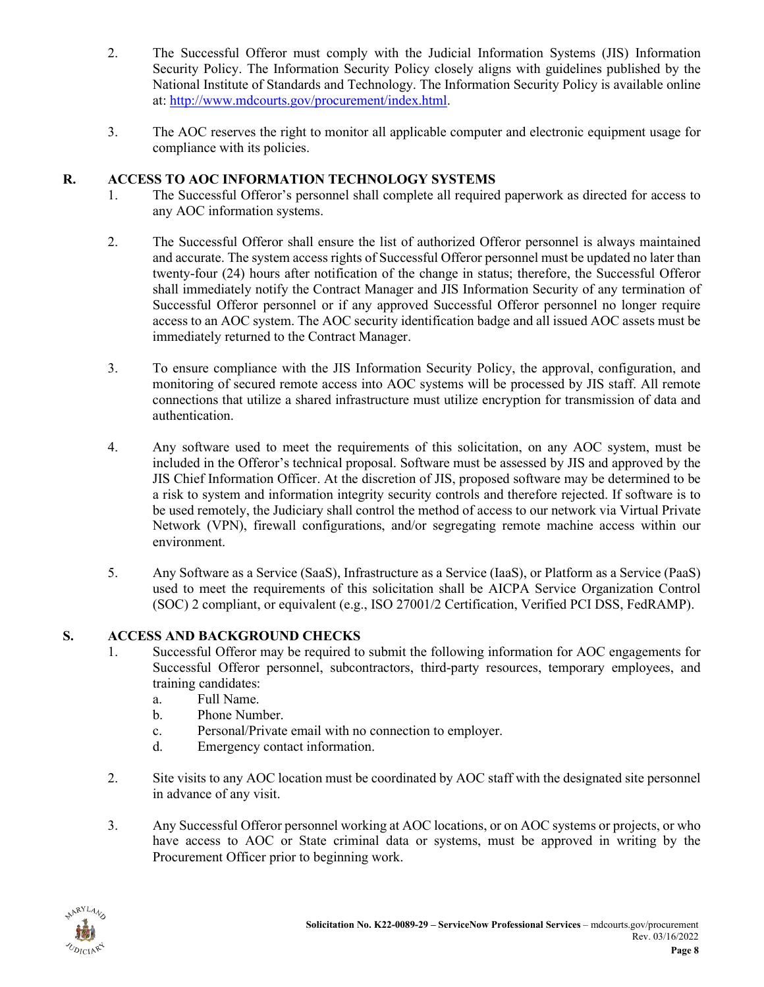- 2. The Successful Offeror must comply with the Judicial Information Systems (JIS) Information Security Policy. The Information Security Policy closely aligns with guidelines published by the National Institute of Standards and Technology. The Information Security Policy is available online at: [http://www.mdcourts.gov/procurement/index.html.](http://www.mdcourts.gov/procurement/index.html)
- 3. The AOC reserves the right to monitor all applicable computer and electronic equipment usage for compliance with its policies.

## <span id="page-7-0"></span>**R. ACCESS TO AOC INFORMATION TECHNOLOGY SYSTEMS**

- 1. The Successful Offeror's personnel shall complete all required paperwork as directed for access to any AOC information systems.
- 2. The Successful Offeror shall ensure the list of authorized Offeror personnel is always maintained and accurate. The system access rights of Successful Offeror personnel must be updated no later than twenty-four (24) hours after notification of the change in status; therefore, the Successful Offeror shall immediately notify the Contract Manager and JIS Information Security of any termination of Successful Offeror personnel or if any approved Successful Offeror personnel no longer require access to an AOC system. The AOC security identification badge and all issued AOC assets must be immediately returned to the Contract Manager.
- 3. To ensure compliance with the JIS Information Security Policy, the approval, configuration, and monitoring of secured remote access into AOC systems will be processed by JIS staff. All remote connections that utilize a shared infrastructure must utilize encryption for transmission of data and authentication.
- 4. Any software used to meet the requirements of this solicitation, on any AOC system, must be included in the Offeror's technical proposal. Software must be assessed by JIS and approved by the JIS Chief Information Officer. At the discretion of JIS, proposed software may be determined to be a risk to system and information integrity security controls and therefore rejected. If software is to be used remotely, the Judiciary shall control the method of access to our network via Virtual Private Network (VPN), firewall configurations, and/or segregating remote machine access within our environment.
- 5. Any Software as a Service (SaaS), Infrastructure as a Service (IaaS), or Platform as a Service (PaaS) used to meet the requirements of this solicitation shall be AICPA Service Organization Control (SOC) 2 compliant, or equivalent (e.g., ISO 27001/2 Certification, Verified PCI DSS, FedRAMP).

## <span id="page-7-1"></span>**S. ACCESS AND BACKGROUND CHECKS**

- 1. Successful Offeror may be required to submit the following information for AOC engagements for Successful Offeror personnel, subcontractors, third-party resources, temporary employees, and training candidates:
	- a. Full Name.
	- b. Phone Number.
	- c. Personal/Private email with no connection to employer.
	- d. Emergency contact information.
- 2. Site visits to any AOC location must be coordinated by AOC staff with the designated site personnel in advance of any visit.
- 3. Any Successful Offeror personnel working at AOC locations, or on AOC systems or projects, or who have access to AOC or State criminal data or systems, must be approved in writing by the Procurement Officer prior to beginning work.

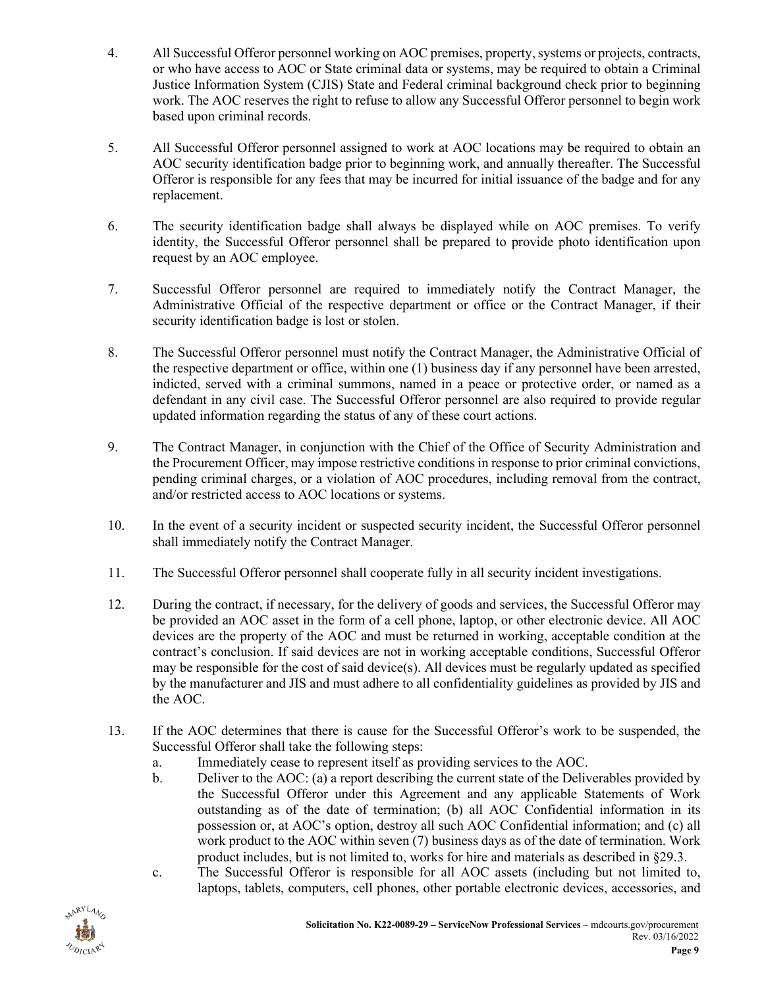- 4. All Successful Offeror personnel working on AOC premises, property, systems or projects, contracts, or who have access to AOC or State criminal data or systems, may be required to obtain a Criminal Justice Information System (CJIS) State and Federal criminal background check prior to beginning work. The AOC reserves the right to refuse to allow any Successful Offeror personnel to begin work based upon criminal records.
- 5. All Successful Offeror personnel assigned to work at AOC locations may be required to obtain an AOC security identification badge prior to beginning work, and annually thereafter. The Successful Offeror is responsible for any fees that may be incurred for initial issuance of the badge and for any replacement.
- 6. The security identification badge shall always be displayed while on AOC premises. To verify identity, the Successful Offeror personnel shall be prepared to provide photo identification upon request by an AOC employee.
- 7. Successful Offeror personnel are required to immediately notify the Contract Manager, the Administrative Official of the respective department or office or the Contract Manager, if their security identification badge is lost or stolen.
- 8. The Successful Offeror personnel must notify the Contract Manager, the Administrative Official of the respective department or office, within one (1) business day if any personnel have been arrested, indicted, served with a criminal summons, named in a peace or protective order, or named as a defendant in any civil case. The Successful Offeror personnel are also required to provide regular updated information regarding the status of any of these court actions.
- 9. The Contract Manager, in conjunction with the Chief of the Office of Security Administration and the Procurement Officer, may impose restrictive conditions in response to prior criminal convictions, pending criminal charges, or a violation of AOC procedures, including removal from the contract, and/or restricted access to AOC locations or systems.
- 10. In the event of a security incident or suspected security incident, the Successful Offeror personnel shall immediately notify the Contract Manager.
- 11. The Successful Offeror personnel shall cooperate fully in all security incident investigations.
- 12. During the contract, if necessary, for the delivery of goods and services, the Successful Offeror may be provided an AOC asset in the form of a cell phone, laptop, or other electronic device. All AOC devices are the property of the AOC and must be returned in working, acceptable condition at the contract's conclusion. If said devices are not in working acceptable conditions, Successful Offeror may be responsible for the cost of said device(s). All devices must be regularly updated as specified by the manufacturer and JIS and must adhere to all confidentiality guidelines as provided by JIS and the AOC.
- 13. If the AOC determines that there is cause for the Successful Offeror's work to be suspended, the Successful Offeror shall take the following steps:
	- a. Immediately cease to represent itself as providing services to the AOC.
	- b. Deliver to the AOC: (a) a report describing the current state of the Deliverables provided by the Successful Offeror under this Agreement and any applicable Statements of Work outstanding as of the date of termination; (b) all AOC Confidential information in its possession or, at AOC's option, destroy all such AOC Confidential information; and (c) all work product to the AOC within seven (7) business days as of the date of termination. Work product includes, but is not limited to, works for hire and materials as described in §29.3.
	- c. The Successful Offeror is responsible for all AOC assets (including but not limited to, laptops, tablets, computers, cell phones, other portable electronic devices, accessories, and

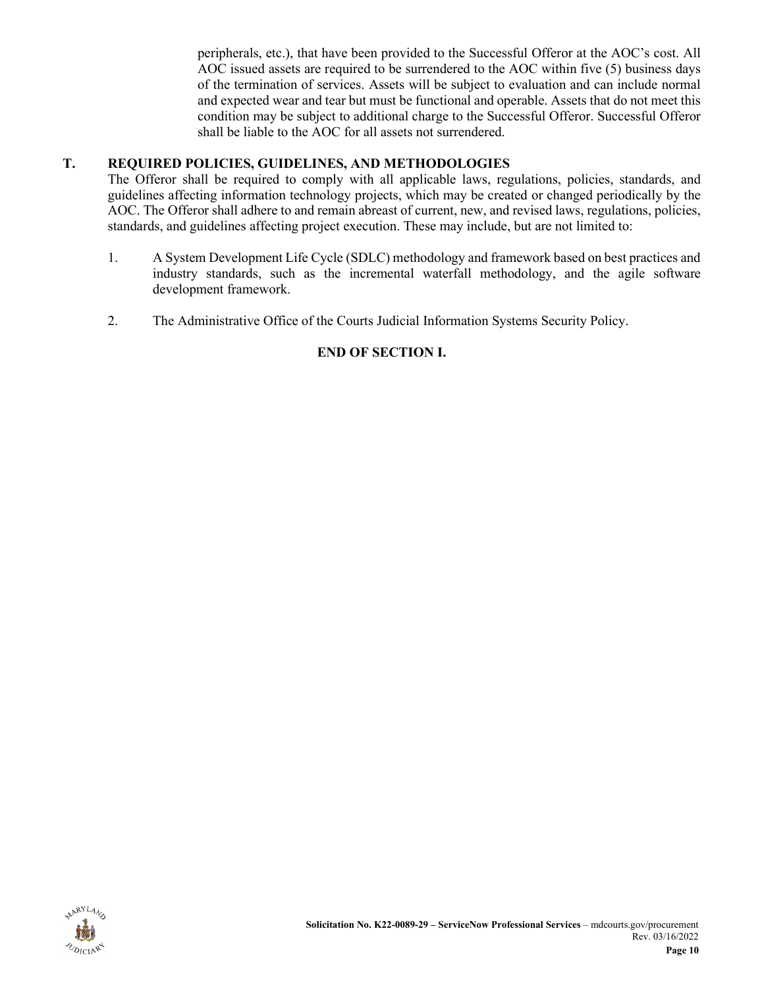peripherals, etc.), that have been provided to the Successful Offeror at the AOC's cost. All AOC issued assets are required to be surrendered to the AOC within five (5) business days of the termination of services. Assets will be subject to evaluation and can include normal and expected wear and tear but must be functional and operable. Assets that do not meet this condition may be subject to additional charge to the Successful Offeror. Successful Offeror shall be liable to the AOC for all assets not surrendered.

### <span id="page-9-0"></span>**T. REQUIRED POLICIES, GUIDELINES, AND METHODOLOGIES**

The Offeror shall be required to comply with all applicable laws, regulations, policies, standards, and guidelines affecting information technology projects, which may be created or changed periodically by the AOC. The Offeror shall adhere to and remain abreast of current, new, and revised laws, regulations, policies, standards, and guidelines affecting project execution. These may include, but are not limited to:

- 1. A System Development Life Cycle (SDLC) methodology and framework based on best practices and industry standards, such as the incremental waterfall methodology, and the agile software development framework.
- 2. The Administrative Office of the Courts Judicial Information Systems Security Policy.

## **END OF SECTION I.**

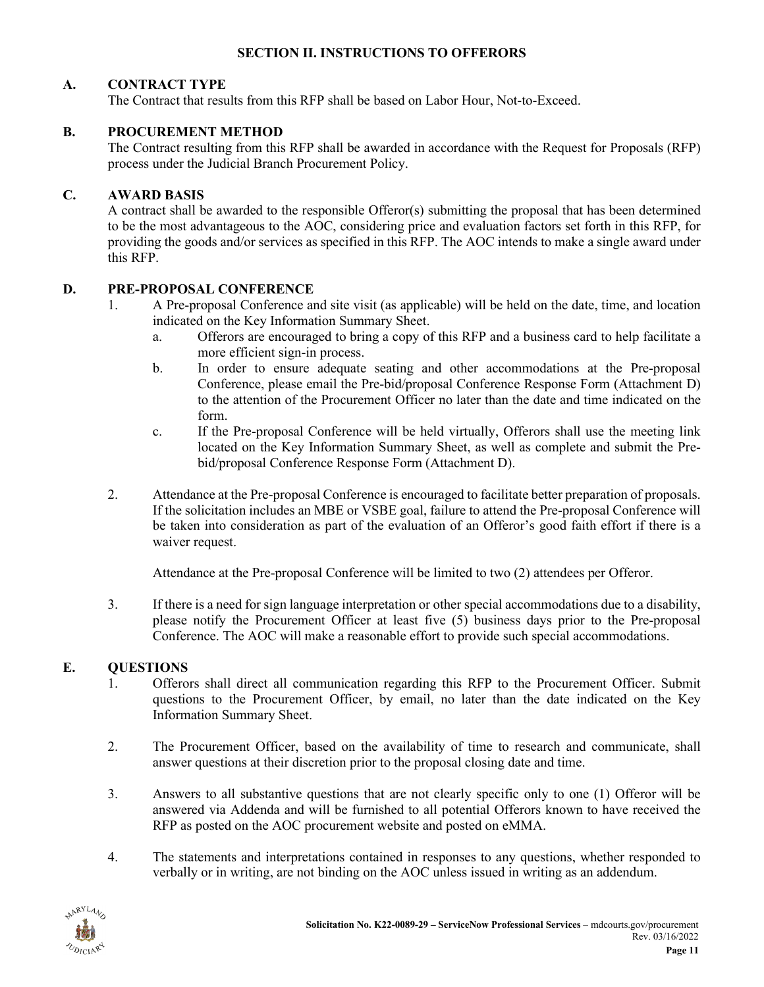#### **SECTION II. INSTRUCTIONS TO OFFERORS**

### <span id="page-10-1"></span><span id="page-10-0"></span>**A. CONTRACT TYPE**

The Contract that results from this RFP shall be based on Labor Hour, Not-to-Exceed.

#### <span id="page-10-2"></span>**B. PROCUREMENT METHOD**

The Contract resulting from this RFP shall be awarded in accordance with the Request for Proposals (RFP) process under the Judicial Branch Procurement Policy.

#### <span id="page-10-3"></span>**C. AWARD BASIS**

A contract shall be awarded to the responsible Offeror(s) submitting the proposal that has been determined to be the most advantageous to the AOC, considering price and evaluation factors set forth in this RFP, for providing the goods and/or services as specified in this RFP. The AOC intends to make a single award under this RFP.

#### <span id="page-10-4"></span>**D. PRE-PROPOSAL CONFERENCE**

- 1. A Pre-proposal Conference and site visit (as applicable) will be held on the date, time, and location indicated on the Key Information Summary Sheet.
	- a. Offerors are encouraged to bring a copy of this RFP and a business card to help facilitate a more efficient sign-in process.
	- b. In order to ensure adequate seating and other accommodations at the Pre-proposal Conference, please email the Pre-bid/proposal Conference Response Form (Attachment D) to the attention of the Procurement Officer no later than the date and time indicated on the form.
	- c. If the Pre-proposal Conference will be held virtually, Offerors shall use the meeting link located on the Key Information Summary Sheet, as well as complete and submit the Prebid/proposal Conference Response Form (Attachment D).
- 2. Attendance at the Pre-proposal Conference is encouraged to facilitate better preparation of proposals. If the solicitation includes an MBE or VSBE goal, failure to attend the Pre-proposal Conference will be taken into consideration as part of the evaluation of an Offeror's good faith effort if there is a waiver request.

Attendance at the Pre-proposal Conference will be limited to two (2) attendees per Offeror.

3. If there is a need for sign language interpretation or other special accommodations due to a disability, please notify the Procurement Officer at least five (5) business days prior to the Pre-proposal Conference. The AOC will make a reasonable effort to provide such special accommodations.

### <span id="page-10-5"></span>**E. QUESTIONS**

- 1. Offerors shall direct all communication regarding this RFP to the Procurement Officer. Submit questions to the Procurement Officer, by email, no later than the date indicated on the Key Information Summary Sheet.
- 2. The Procurement Officer, based on the availability of time to research and communicate, shall answer questions at their discretion prior to the proposal closing date and time.
- 3. Answers to all substantive questions that are not clearly specific only to one (1) Offeror will be answered via Addenda and will be furnished to all potential Offerors known to have received the RFP as posted on the AOC procurement website and posted on eMMA.
- 4. The statements and interpretations contained in responses to any questions, whether responded to verbally or in writing, are not binding on the AOC unless issued in writing as an addendum.

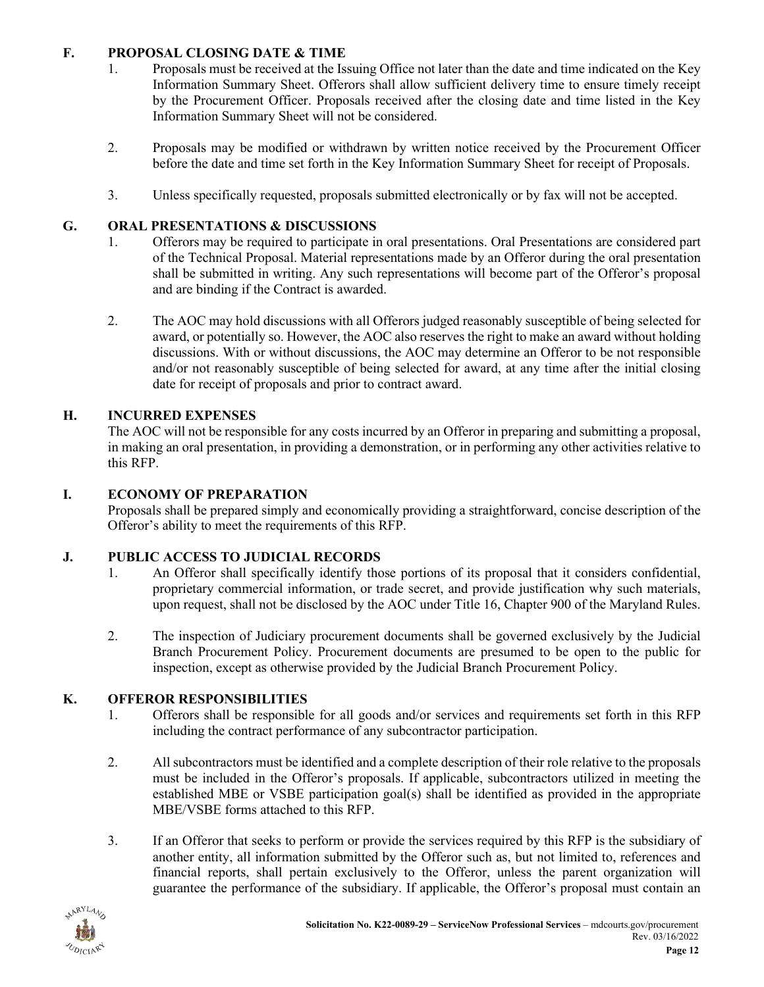### <span id="page-11-0"></span>**F. PROPOSAL CLOSING DATE & TIME**

- 1. Proposals must be received at the Issuing Office not later than the date and time indicated on the Key Information Summary Sheet. Offerors shall allow sufficient delivery time to ensure timely receipt by the Procurement Officer. Proposals received after the closing date and time listed in the Key Information Summary Sheet will not be considered.
- 2. Proposals may be modified or withdrawn by written notice received by the Procurement Officer before the date and time set forth in the Key Information Summary Sheet for receipt of Proposals.
- 3. Unless specifically requested, proposals submitted electronically or by fax will not be accepted.

## <span id="page-11-1"></span>**G. ORAL PRESENTATIONS & DISCUSSIONS**

- 1. Offerors may be required to participate in oral presentations. Oral Presentations are considered part of the Technical Proposal. Material representations made by an Offeror during the oral presentation shall be submitted in writing. Any such representations will become part of the Offeror's proposal and are binding if the Contract is awarded.
- 2. The AOC may hold discussions with all Offerors judged reasonably susceptible of being selected for award, or potentially so. However, the AOC also reserves the right to make an award without holding discussions. With or without discussions, the AOC may determine an Offeror to be not responsible and/or not reasonably susceptible of being selected for award, at any time after the initial closing date for receipt of proposals and prior to contract award.

## <span id="page-11-2"></span>**H. INCURRED EXPENSES**

The AOC will not be responsible for any costs incurred by an Offeror in preparing and submitting a proposal, in making an oral presentation, in providing a demonstration, or in performing any other activities relative to this RFP.

## <span id="page-11-3"></span>**I. ECONOMY OF PREPARATION**

Proposals shall be prepared simply and economically providing a straightforward, concise description of the Offeror's ability to meet the requirements of this RFP.

## <span id="page-11-4"></span>**J. PUBLIC ACCESS TO JUDICIAL RECORDS**

- 1. An Offeror shall specifically identify those portions of its proposal that it considers confidential, proprietary commercial information, or trade secret, and provide justification why such materials, upon request, shall not be disclosed by the AOC under Title 16, Chapter 900 of the Maryland Rules.
- 2. The inspection of Judiciary procurement documents shall be governed exclusively by the Judicial Branch Procurement Policy. Procurement documents are presumed to be open to the public for inspection, except as otherwise provided by the Judicial Branch Procurement Policy.

# <span id="page-11-5"></span>**K. OFFEROR RESPONSIBILITIES**

- 1. Offerors shall be responsible for all goods and/or services and requirements set forth in this RFP including the contract performance of any subcontractor participation.
- 2. All subcontractors must be identified and a complete description of their role relative to the proposals must be included in the Offeror's proposals. If applicable, subcontractors utilized in meeting the established MBE or VSBE participation goal(s) shall be identified as provided in the appropriate MBE/VSBE forms attached to this RFP.
- 3. If an Offeror that seeks to perform or provide the services required by this RFP is the subsidiary of another entity, all information submitted by the Offeror such as, but not limited to, references and financial reports, shall pertain exclusively to the Offeror, unless the parent organization will guarantee the performance of the subsidiary. If applicable, the Offeror's proposal must contain an

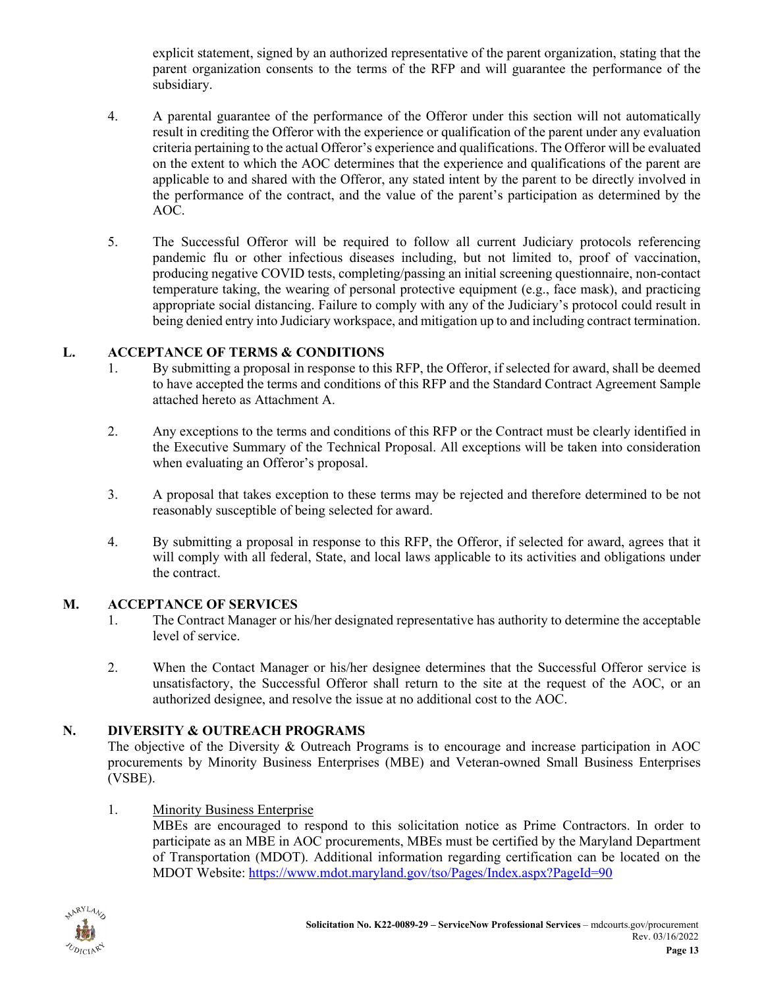explicit statement, signed by an authorized representative of the parent organization, stating that the parent organization consents to the terms of the RFP and will guarantee the performance of the subsidiary.

- 4. A parental guarantee of the performance of the Offeror under this section will not automatically result in crediting the Offeror with the experience or qualification of the parent under any evaluation criteria pertaining to the actual Offeror's experience and qualifications. The Offeror will be evaluated on the extent to which the AOC determines that the experience and qualifications of the parent are applicable to and shared with the Offeror, any stated intent by the parent to be directly involved in the performance of the contract, and the value of the parent's participation as determined by the AOC.
- 5. The Successful Offeror will be required to follow all current Judiciary protocols referencing pandemic flu or other infectious diseases including, but not limited to, proof of vaccination, producing negative COVID tests, completing/passing an initial screening questionnaire, non-contact temperature taking, the wearing of personal protective equipment (e.g., face mask), and practicing appropriate social distancing. Failure to comply with any of the Judiciary's protocol could result in being denied entry into Judiciary workspace, and mitigation up to and including contract termination.

### <span id="page-12-0"></span>**L. ACCEPTANCE OF TERMS & CONDITIONS**

- 1. By submitting a proposal in response to this RFP, the Offeror, if selected for award, shall be deemed to have accepted the terms and conditions of this RFP and the Standard Contract Agreement Sample attached hereto as Attachment A.
- 2. Any exceptions to the terms and conditions of this RFP or the Contract must be clearly identified in the Executive Summary of the Technical Proposal. All exceptions will be taken into consideration when evaluating an Offeror's proposal.
- 3. A proposal that takes exception to these terms may be rejected and therefore determined to be not reasonably susceptible of being selected for award.
- 4. By submitting a proposal in response to this RFP, the Offeror, if selected for award, agrees that it will comply with all federal, State, and local laws applicable to its activities and obligations under the contract.

#### <span id="page-12-1"></span>**M. ACCEPTANCE OF SERVICES**

- 1. The Contract Manager or his/her designated representative has authority to determine the acceptable level of service.
- 2. When the Contact Manager or his/her designee determines that the Successful Offeror service is unsatisfactory, the Successful Offeror shall return to the site at the request of the AOC, or an authorized designee, and resolve the issue at no additional cost to the AOC.

### <span id="page-12-2"></span>**N. DIVERSITY & OUTREACH PROGRAMS**

The objective of the Diversity & Outreach Programs is to encourage and increase participation in AOC procurements by Minority Business Enterprises (MBE) and Veteran-owned Small Business Enterprises (VSBE).

### 1. Minority Business Enterprise

MBEs are encouraged to respond to this solicitation notice as Prime Contractors. In order to participate as an MBE in AOC procurements, MBEs must be certified by the Maryland Department of Transportation (MDOT). Additional information regarding certification can be located on the MDOT Website: <https://www.mdot.maryland.gov/tso/Pages/Index.aspx?PageId=90>

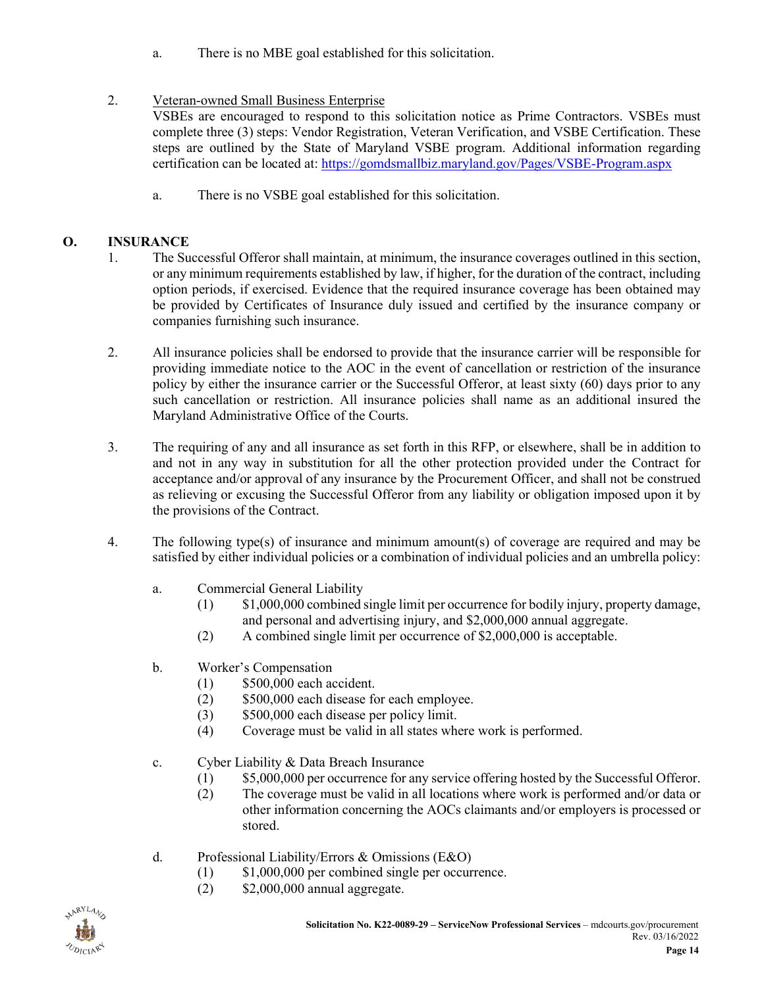a. There is no MBE goal established for this solicitation.

## 2. Veteran-owned Small Business Enterprise

VSBEs are encouraged to respond to this solicitation notice as Prime Contractors. VSBEs must complete three (3) steps: Vendor Registration, Veteran Verification, and VSBE Certification. These steps are outlined by the State of Maryland VSBE program. Additional information regarding certification can be located at[: https://gomdsmallbiz.maryland.gov/Pages/VSBE-Program.aspx](https://gomdsmallbiz.maryland.gov/Pages/VSBE-Program.aspx)

a. There is no VSBE goal established for this solicitation.

## <span id="page-13-0"></span>**O. INSURANCE**

- 1. The Successful Offeror shall maintain, at minimum, the insurance coverages outlined in this section, or any minimum requirements established by law, if higher, for the duration of the contract, including option periods, if exercised. Evidence that the required insurance coverage has been obtained may be provided by Certificates of Insurance duly issued and certified by the insurance company or companies furnishing such insurance.
- 2. All insurance policies shall be endorsed to provide that the insurance carrier will be responsible for providing immediate notice to the AOC in the event of cancellation or restriction of the insurance policy by either the insurance carrier or the Successful Offeror, at least sixty (60) days prior to any such cancellation or restriction. All insurance policies shall name as an additional insured the Maryland Administrative Office of the Courts.
- 3. The requiring of any and all insurance as set forth in this RFP, or elsewhere, shall be in addition to and not in any way in substitution for all the other protection provided under the Contract for acceptance and/or approval of any insurance by the Procurement Officer, and shall not be construed as relieving or excusing the Successful Offeror from any liability or obligation imposed upon it by the provisions of the Contract.
- 4. The following type(s) of insurance and minimum amount(s) of coverage are required and may be satisfied by either individual policies or a combination of individual policies and an umbrella policy:
	- a. Commercial General Liability
		- (1) \$1,000,000 combined single limit per occurrence for bodily injury, property damage, and personal and advertising injury, and \$2,000,000 annual aggregate.
		- (2) A combined single limit per occurrence of \$2,000,000 is acceptable.
	- b. Worker's Compensation
		- (1) \$500,000 each accident.
		- (2) \$500,000 each disease for each employee.
		- (3) \$500,000 each disease per policy limit.
		- (4) Coverage must be valid in all states where work is performed.
	- c. Cyber Liability & Data Breach Insurance
		- (1) \$5,000,000 per occurrence for any service offering hosted by the Successful Offeror.
		- (2) The coverage must be valid in all locations where work is performed and/or data or other information concerning the AOCs claimants and/or employers is processed or stored.
	- d. Professional Liability/Errors & Omissions (E&O)
		- (1) \$1,000,000 per combined single per occurrence.
		- (2) \$2,000,000 annual aggregate.

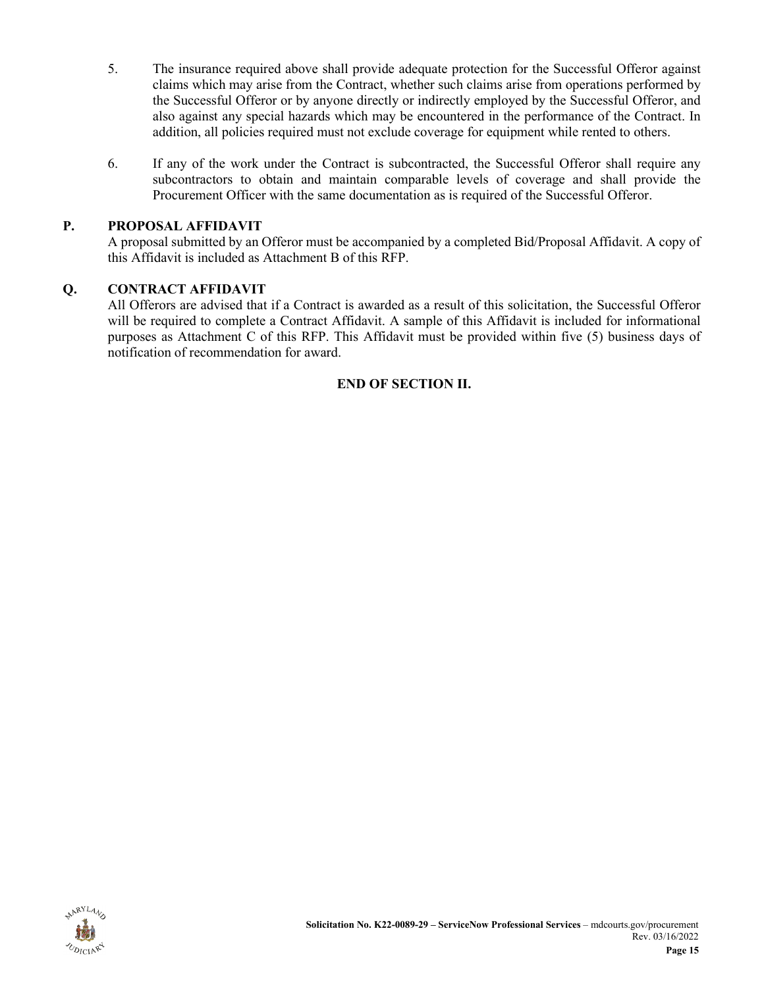- 5. The insurance required above shall provide adequate protection for the Successful Offeror against claims which may arise from the Contract, whether such claims arise from operations performed by the Successful Offeror or by anyone directly or indirectly employed by the Successful Offeror, and also against any special hazards which may be encountered in the performance of the Contract. In addition, all policies required must not exclude coverage for equipment while rented to others.
- 6. If any of the work under the Contract is subcontracted, the Successful Offeror shall require any subcontractors to obtain and maintain comparable levels of coverage and shall provide the Procurement Officer with the same documentation as is required of the Successful Offeror.

### <span id="page-14-0"></span>**P. PROPOSAL AFFIDAVIT**

A proposal submitted by an Offeror must be accompanied by a completed Bid/Proposal Affidavit. A copy of this Affidavit is included as Attachment B of this RFP.

### <span id="page-14-1"></span>**Q. CONTRACT AFFIDAVIT**

All Offerors are advised that if a Contract is awarded as a result of this solicitation, the Successful Offeror will be required to complete a Contract Affidavit. A sample of this Affidavit is included for informational purposes as Attachment C of this RFP. This Affidavit must be provided within five (5) business days of notification of recommendation for award.

### **END OF SECTION II.**

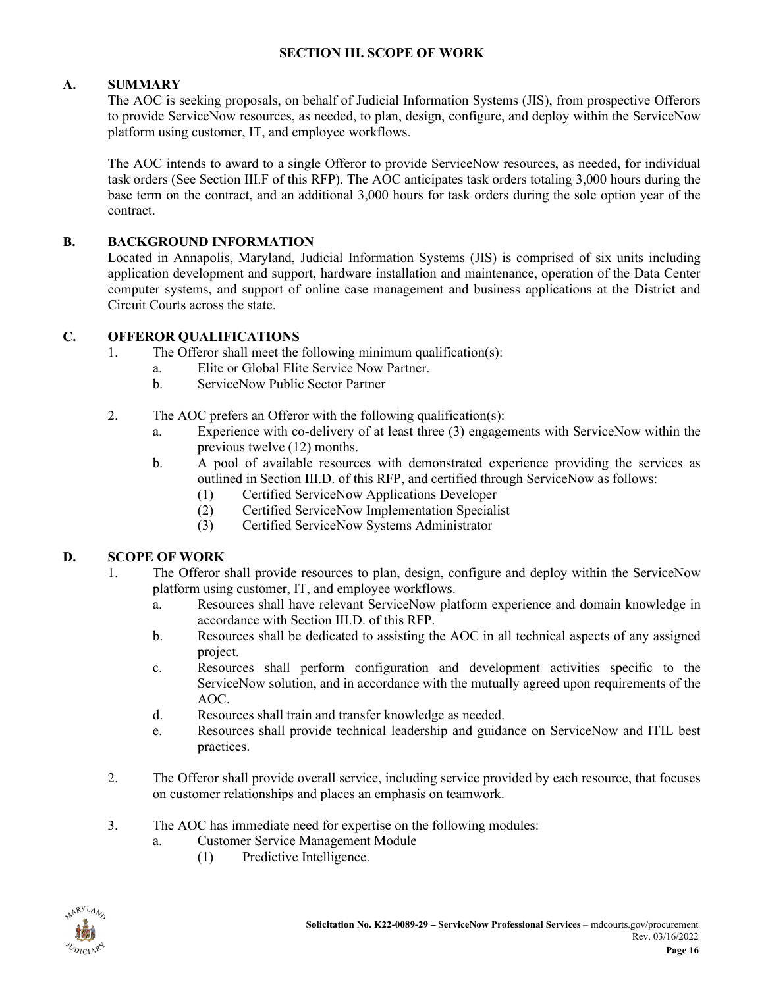#### **SECTION III. SCOPE OF WORK**

### <span id="page-15-1"></span><span id="page-15-0"></span>**A. SUMMARY**

The AOC is seeking proposals, on behalf of Judicial Information Systems (JIS), from prospective Offerors to provide ServiceNow resources, as needed, to plan, design, configure, and deploy within the ServiceNow platform using customer, IT, and employee workflows.

The AOC intends to award to a single Offeror to provide ServiceNow resources, as needed, for individual task orders (See Section III.F of this RFP). The AOC anticipates task orders totaling 3,000 hours during the base term on the contract, and an additional 3,000 hours for task orders during the sole option year of the contract.

### <span id="page-15-2"></span>**B. BACKGROUND INFORMATION**

Located in Annapolis, Maryland, Judicial Information Systems (JIS) is comprised of six units including application development and support, hardware installation and maintenance, operation of the Data Center computer systems, and support of online case management and business applications at the District and Circuit Courts across the state.

### <span id="page-15-3"></span>**C. OFFEROR QUALIFICATIONS**

- 1. The Offeror shall meet the following minimum qualification(s):
	- a. Elite or Global Elite Service Now Partner.
	- b. ServiceNow Public Sector Partner
- 2. The AOC prefers an Offeror with the following qualification(s):
	- a. Experience with co-delivery of at least three (3) engagements with ServiceNow within the previous twelve (12) months.
	- b. A pool of available resources with demonstrated experience providing the services as outlined in Section III.D. of this RFP, and certified through ServiceNow as follows:
		- (1) Certified ServiceNow Applications Developer
		- (2) Certified ServiceNow Implementation Specialist
		- (3) Certified ServiceNow Systems Administrator

## <span id="page-15-4"></span>**D. SCOPE OF WORK**

- 1. The Offeror shall provide resources to plan, design, configure and deploy within the ServiceNow platform using customer, IT, and employee workflows.
	- a. Resources shall have relevant ServiceNow platform experience and domain knowledge in accordance with Section III.D. of this RFP.
	- b. Resources shall be dedicated to assisting the AOC in all technical aspects of any assigned project.
	- c. Resources shall perform configuration and development activities specific to the ServiceNow solution, and in accordance with the mutually agreed upon requirements of the AOC.
	- d. Resources shall train and transfer knowledge as needed.
	- e. Resources shall provide technical leadership and guidance on ServiceNow and ITIL best practices.
- 2. The Offeror shall provide overall service, including service provided by each resource, that focuses on customer relationships and places an emphasis on teamwork.
- 3. The AOC has immediate need for expertise on the following modules:
	- a. Customer Service Management Module
		- (1) Predictive Intelligence.

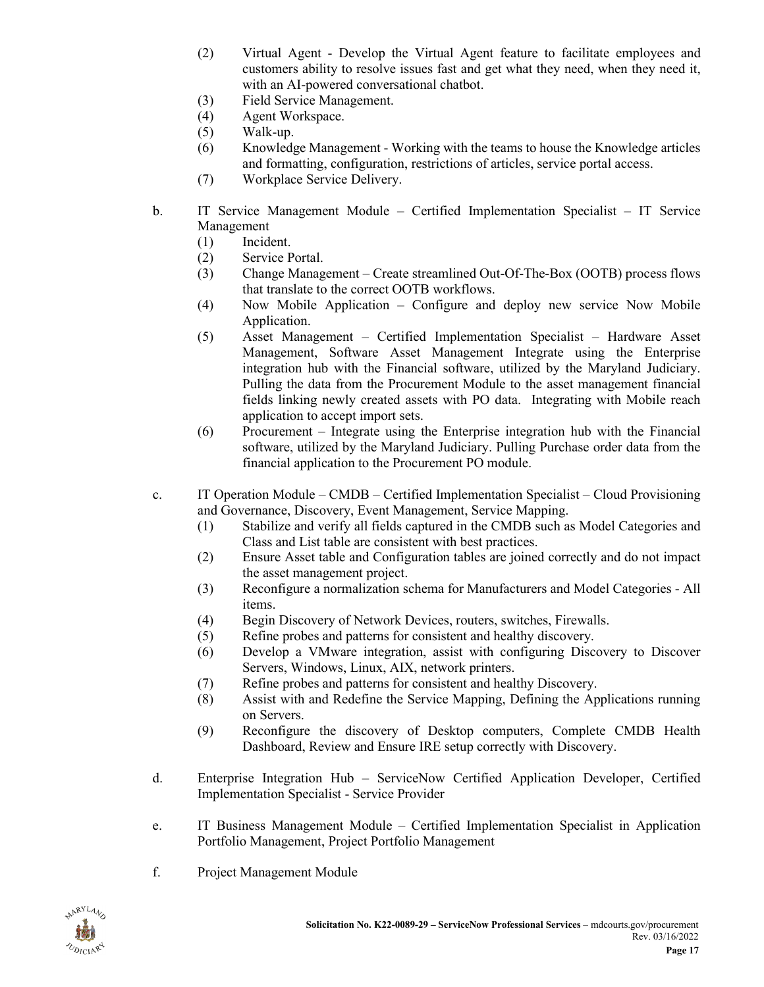- (2) Virtual Agent Develop the Virtual Agent feature to facilitate employees and customers ability to resolve issues fast and get what they need, when they need it, with an AI-powered conversational chatbot.
- (3) Field Service Management.
- (4) Agent Workspace.
- (5) Walk-up.
- (6) Knowledge Management Working with the teams to house the Knowledge articles and formatting, configuration, restrictions of articles, service portal access.
- (7) Workplace Service Delivery.
- b. IT Service Management Module Certified Implementation Specialist IT Service Management
	- (1) Incident.
	- (2) Service Portal.
	- (3) Change Management Create streamlined Out-Of-The-Box (OOTB) process flows that translate to the correct OOTB workflows.
	- (4) Now Mobile Application Configure and deploy new service Now Mobile Application.
	- (5) Asset Management Certified Implementation Specialist Hardware Asset Management, Software Asset Management Integrate using the Enterprise integration hub with the Financial software, utilized by the Maryland Judiciary. Pulling the data from the Procurement Module to the asset management financial fields linking newly created assets with PO data. Integrating with Mobile reach application to accept import sets.
	- (6) Procurement Integrate using the Enterprise integration hub with the Financial software, utilized by the Maryland Judiciary. Pulling Purchase order data from the financial application to the Procurement PO module.
- c. IT Operation Module CMDB Certified Implementation Specialist Cloud Provisioning and Governance, Discovery, Event Management, Service Mapping.
	- (1) Stabilize and verify all fields captured in the CMDB such as Model Categories and Class and List table are consistent with best practices.
	- (2) Ensure Asset table and Configuration tables are joined correctly and do not impact the asset management project.
	- (3) Reconfigure a normalization schema for Manufacturers and Model Categories All items.
	- (4) Begin Discovery of Network Devices, routers, switches, Firewalls.
	- (5) Refine probes and patterns for consistent and healthy discovery.
	- (6) Develop a VMware integration, assist with configuring Discovery to Discover Servers, Windows, Linux, AIX, network printers.
	- (7) Refine probes and patterns for consistent and healthy Discovery.
	- (8) Assist with and Redefine the Service Mapping, Defining the Applications running on Servers.
	- (9) Reconfigure the discovery of Desktop computers, Complete CMDB Health Dashboard, Review and Ensure IRE setup correctly with Discovery.
- d. Enterprise Integration Hub ServiceNow Certified Application Developer, Certified Implementation Specialist - Service Provider
- e. IT Business Management Module Certified Implementation Specialist in Application Portfolio Management, Project Portfolio Management
- f. Project Management Module

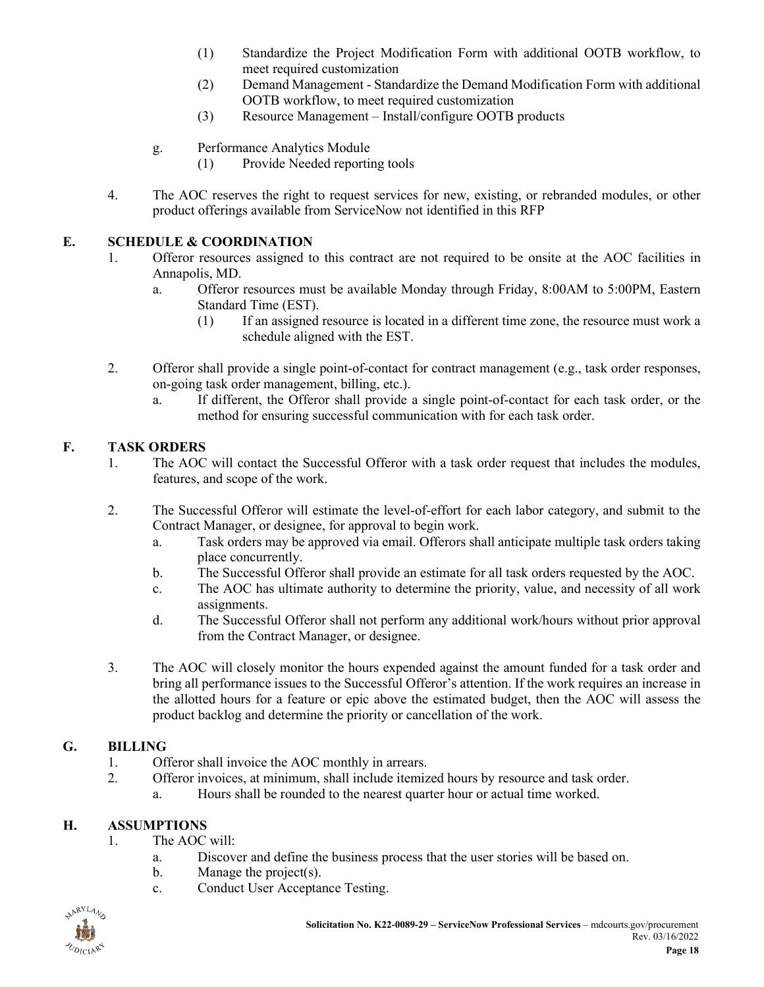- (1) Standardize the Project Modification Form with additional OOTB workflow, to meet required customization
- (2) Demand Management Standardize the Demand Modification Form with additional OOTB workflow, to meet required customization
- (3) Resource Management Install/configure OOTB products
- g. Performance Analytics Module
	- (1) Provide Needed reporting tools
- 4. The AOC reserves the right to request services for new, existing, or rebranded modules, or other product offerings available from ServiceNow not identified in this RFP

### <span id="page-17-0"></span>**E. SCHEDULE & COORDINATION**

- 1. Offeror resources assigned to this contract are not required to be onsite at the AOC facilities in Annapolis, MD.
	- a. Offeror resources must be available Monday through Friday, 8:00AM to 5:00PM, Eastern Standard Time (EST).
		- (1) If an assigned resource is located in a different time zone, the resource must work a schedule aligned with the EST.
- 2. Offeror shall provide a single point-of-contact for contract management (e.g., task order responses, on-going task order management, billing, etc.).
	- a. If different, the Offeror shall provide a single point-of-contact for each task order, or the method for ensuring successful communication with for each task order.

#### <span id="page-17-1"></span>**F. TASK ORDERS**

- 1. The AOC will contact the Successful Offeror with a task order request that includes the modules, features, and scope of the work.
- 2. The Successful Offeror will estimate the level-of-effort for each labor category, and submit to the Contract Manager, or designee, for approval to begin work.
	- a. Task orders may be approved via email. Offerors shall anticipate multiple task orders taking place concurrently.
	- b. The Successful Offeror shall provide an estimate for all task orders requested by the AOC.
	- c. The AOC has ultimate authority to determine the priority, value, and necessity of all work assignments.
	- d. The Successful Offeror shall not perform any additional work/hours without prior approval from the Contract Manager, or designee.
- 3. The AOC will closely monitor the hours expended against the amount funded for a task order and bring all performance issues to the Successful Offeror's attention. If the work requires an increase in the allotted hours for a feature or epic above the estimated budget, then the AOC will assess the product backlog and determine the priority or cancellation of the work.

### <span id="page-17-2"></span>**G. BILLING**

- 1. Offeror shall invoice the AOC monthly in arrears.
- 2. Offeror invoices, at minimum, shall include itemized hours by resource and task order.
	- a. Hours shall be rounded to the nearest quarter hour or actual time worked.

### <span id="page-17-3"></span>**H. ASSUMPTIONS**

- 1. The AOC will:
	- a. Discover and define the business process that the user stories will be based on.
	- b. Manage the project(s).
	- c. Conduct User Acceptance Testing.

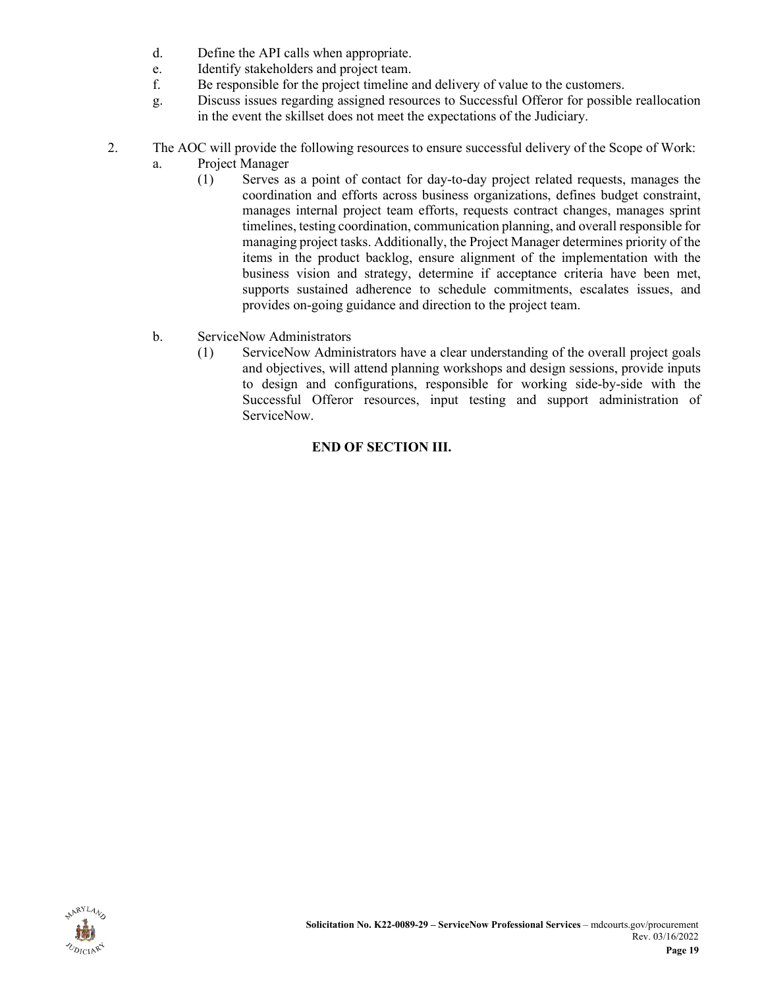- d. Define the API calls when appropriate.
- e. Identify stakeholders and project team.
- f. Be responsible for the project timeline and delivery of value to the customers.
- g. Discuss issues regarding assigned resources to Successful Offeror for possible reallocation in the event the skillset does not meet the expectations of the Judiciary.
- 2. The AOC will provide the following resources to ensure successful delivery of the Scope of Work:
	- a. Project Manager
		- (1) Serves as a point of contact for day-to-day project related requests, manages the coordination and efforts across business organizations, defines budget constraint, manages internal project team efforts, requests contract changes, manages sprint timelines, testing coordination, communication planning, and overall responsible for managing project tasks. Additionally, the Project Manager determines priority of the items in the product backlog, ensure alignment of the implementation with the business vision and strategy, determine if acceptance criteria have been met, supports sustained adherence to schedule commitments, escalates issues, and provides on-going guidance and direction to the project team.
	- b. ServiceNow Administrators
		- (1) ServiceNow Administrators have a clear understanding of the overall project goals and objectives, will attend planning workshops and design sessions, provide inputs to design and configurations, responsible for working side-by-side with the Successful Offeror resources, input testing and support administration of ServiceNow.

### **END OF SECTION III.**

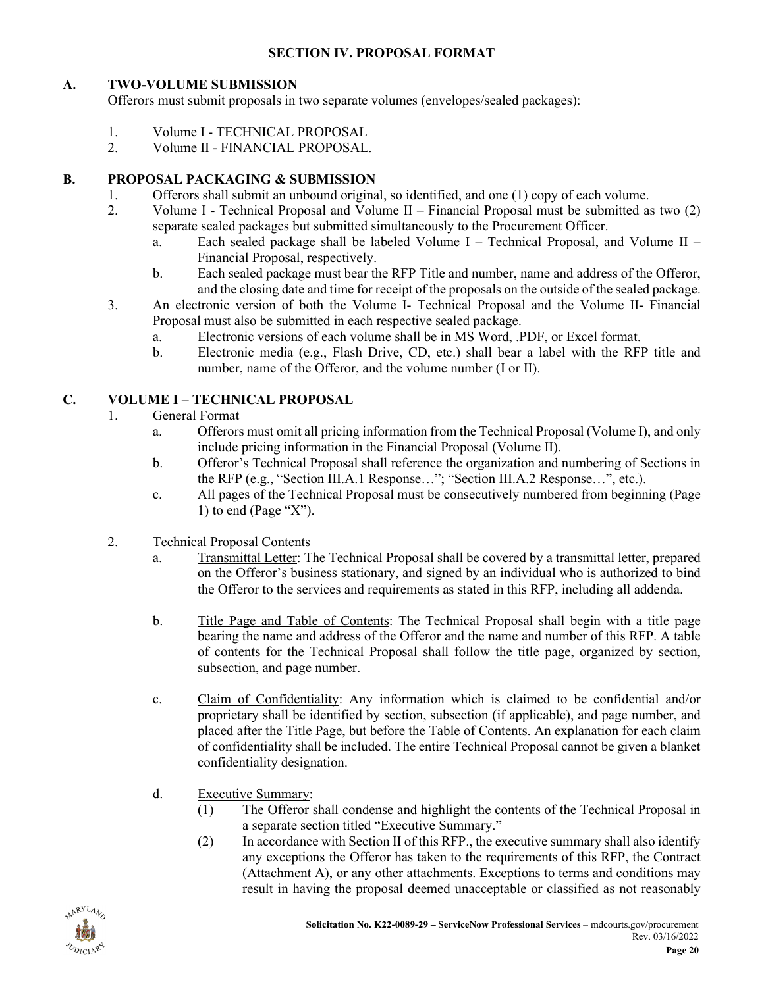#### **SECTION IV. PROPOSAL FORMAT**

### <span id="page-19-1"></span><span id="page-19-0"></span>**A. TWO-VOLUME SUBMISSION**

Offerors must submit proposals in two separate volumes (envelopes/sealed packages):

- 1. Volume I TECHNICAL PROPOSAL<br>2. Volume II FINANCIAL PROPOSAL
- 2. Volume II FINANCIAL PROPOSAL.

### <span id="page-19-2"></span>**B. PROPOSAL PACKAGING & SUBMISSION**

- 1. Offerors shall submit an unbound original, so identified, and one (1) copy of each volume.
- 2. Volume I Technical Proposal and Volume II Financial Proposal must be submitted as two (2) separate sealed packages but submitted simultaneously to the Procurement Officer.
	- a. Each sealed package shall be labeled Volume  $I$  Technical Proposal, and Volume II Financial Proposal, respectively.
	- b. Each sealed package must bear the RFP Title and number, name and address of the Offeror, and the closing date and time for receipt of the proposals on the outside of the sealed package.
- 3. An electronic version of both the Volume I- Technical Proposal and the Volume II- Financial Proposal must also be submitted in each respective sealed package.
	- a. Electronic versions of each volume shall be in MS Word, .PDF, or Excel format.
	- b. Electronic media (e.g., Flash Drive, CD, etc.) shall bear a label with the RFP title and number, name of the Offeror, and the volume number (I or II).

### <span id="page-19-3"></span>**C. VOLUME I – TECHNICAL PROPOSAL**

### 1. General Format

- a. Offerors must omit all pricing information from the Technical Proposal (Volume I), and only include pricing information in the Financial Proposal (Volume II).
- b. Offeror's Technical Proposal shall reference the organization and numbering of Sections in the RFP (e.g., "Section III.A.1 Response…"; "Section III.A.2 Response…", etc.).
- c. All pages of the Technical Proposal must be consecutively numbered from beginning (Page 1) to end (Page " $X$ ").
- 2. Technical Proposal Contents
	- a. Transmittal Letter: The Technical Proposal shall be covered by a transmittal letter, prepared on the Offeror's business stationary, and signed by an individual who is authorized to bind the Offeror to the services and requirements as stated in this RFP, including all addenda.
	- b. Title Page and Table of Contents: The Technical Proposal shall begin with a title page bearing the name and address of the Offeror and the name and number of this RFP. A table of contents for the Technical Proposal shall follow the title page, organized by section, subsection, and page number.
	- c. Claim of Confidentiality: Any information which is claimed to be confidential and/or proprietary shall be identified by section, subsection (if applicable), and page number, and placed after the Title Page, but before the Table of Contents. An explanation for each claim of confidentiality shall be included. The entire Technical Proposal cannot be given a blanket confidentiality designation.
	- d. Executive Summary:
		- (1) The Offeror shall condense and highlight the contents of the Technical Proposal in a separate section titled "Executive Summary."
		- (2) In accordance with Section II of this RFP., the executive summary shall also identify any exceptions the Offeror has taken to the requirements of this RFP, the Contract (Attachment A), or any other attachments. Exceptions to terms and conditions may result in having the proposal deemed unacceptable or classified as not reasonably

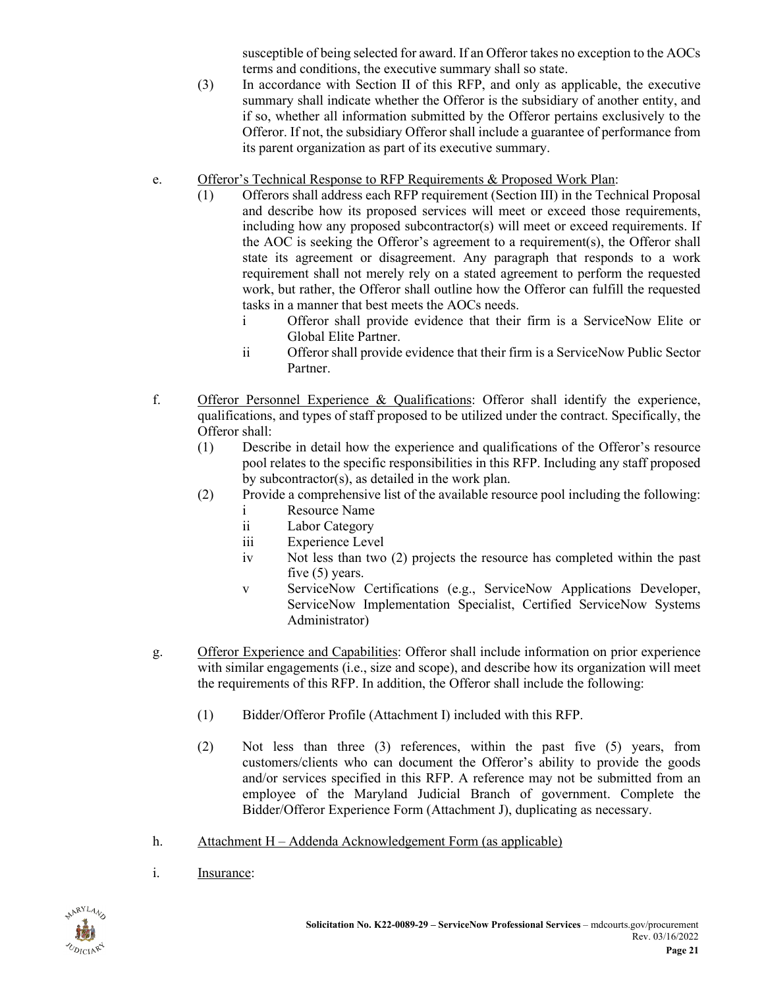susceptible of being selected for award. If an Offeror takes no exception to the AOCs terms and conditions, the executive summary shall so state.

- (3) In accordance with Section II of this RFP, and only as applicable, the executive summary shall indicate whether the Offeror is the subsidiary of another entity, and if so, whether all information submitted by the Offeror pertains exclusively to the Offeror. If not, the subsidiary Offeror shall include a guarantee of performance from its parent organization as part of its executive summary.
- e. Offeror's Technical Response to RFP Requirements & Proposed Work Plan:
	- (1) Offerors shall address each RFP requirement (Section III) in the Technical Proposal and describe how its proposed services will meet or exceed those requirements, including how any proposed subcontractor(s) will meet or exceed requirements. If the AOC is seeking the Offeror's agreement to a requirement(s), the Offeror shall state its agreement or disagreement. Any paragraph that responds to a work requirement shall not merely rely on a stated agreement to perform the requested work, but rather, the Offeror shall outline how the Offeror can fulfill the requested tasks in a manner that best meets the AOCs needs.
		- i Offeror shall provide evidence that their firm is a ServiceNow Elite or Global Elite Partner.
		- ii Offeror shall provide evidence that their firm is a ServiceNow Public Sector Partner.
- f. Offeror Personnel Experience & Qualifications: Offeror shall identify the experience, qualifications, and types of staff proposed to be utilized under the contract. Specifically, the Offeror shall:
	- (1) Describe in detail how the experience and qualifications of the Offeror's resource pool relates to the specific responsibilities in this RFP. Including any staff proposed by subcontractor(s), as detailed in the work plan.
	- (2) Provide a comprehensive list of the available resource pool including the following:
		- i Resource Name
		- ii Labor Category
		- iii Experience Level
		- iv Not less than two (2) projects the resource has completed within the past five (5) years.
		- v ServiceNow Certifications (e.g., ServiceNow Applications Developer, ServiceNow Implementation Specialist, Certified ServiceNow Systems Administrator)
- g. Offeror Experience and Capabilities: Offeror shall include information on prior experience with similar engagements (i.e., size and scope), and describe how its organization will meet the requirements of this RFP. In addition, the Offeror shall include the following:
	- (1) Bidder/Offeror Profile (Attachment I) included with this RFP.
	- (2) Not less than three (3) references, within the past five (5) years, from customers/clients who can document the Offeror's ability to provide the goods and/or services specified in this RFP. A reference may not be submitted from an employee of the Maryland Judicial Branch of government. Complete the Bidder/Offeror Experience Form (Attachment J), duplicating as necessary.
- h. Attachment H Addenda Acknowledgement Form (as applicable)
- i. Insurance:

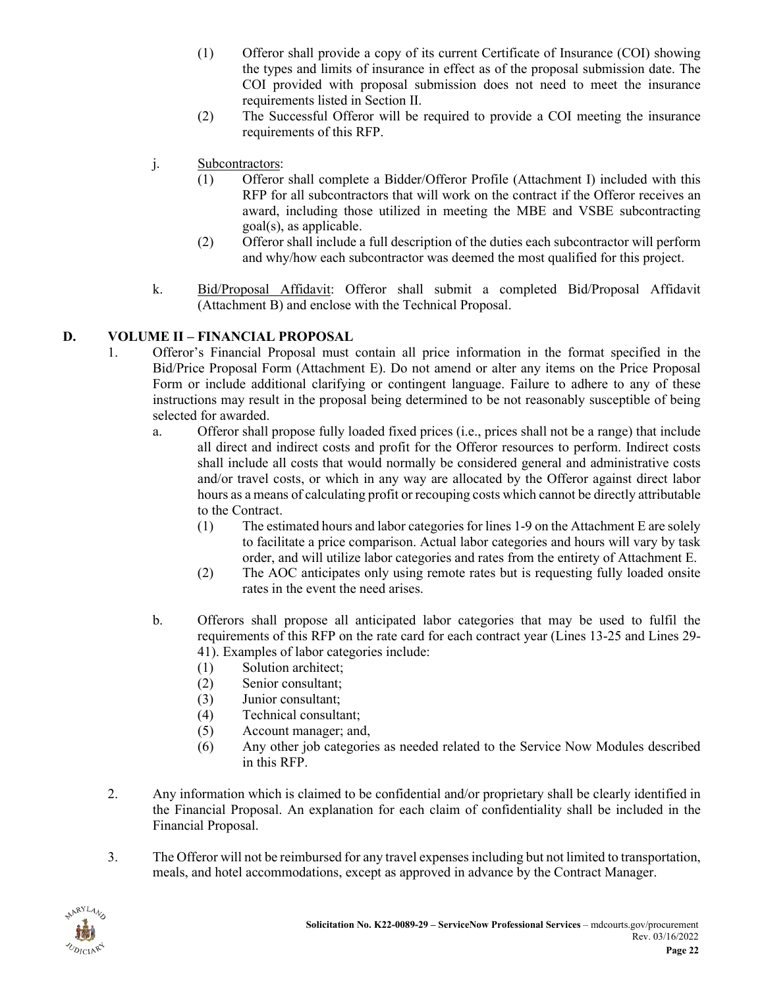- (1) Offeror shall provide a copy of its current Certificate of Insurance (COI) showing the types and limits of insurance in effect as of the proposal submission date. The COI provided with proposal submission does not need to meet the insurance requirements listed in Section II.
- (2) The Successful Offeror will be required to provide a COI meeting the insurance requirements of this RFP.
- j. Subcontractors:
	- (1) Offeror shall complete a Bidder/Offeror Profile (Attachment I) included with this RFP for all subcontractors that will work on the contract if the Offeror receives an award, including those utilized in meeting the MBE and VSBE subcontracting goal(s), as applicable.
	- (2) Offeror shall include a full description of the duties each subcontractor will perform and why/how each subcontractor was deemed the most qualified for this project.
- k. Bid/Proposal Affidavit: Offeror shall submit a completed Bid/Proposal Affidavit (Attachment B) and enclose with the Technical Proposal.

### <span id="page-21-0"></span>**D. VOLUME II – FINANCIAL PROPOSAL**

- 1. Offeror's Financial Proposal must contain all price information in the format specified in the Bid/Price Proposal Form (Attachment E). Do not amend or alter any items on the Price Proposal Form or include additional clarifying or contingent language. Failure to adhere to any of these instructions may result in the proposal being determined to be not reasonably susceptible of being selected for awarded.
	- a. Offeror shall propose fully loaded fixed prices (i.e., prices shall not be a range) that include all direct and indirect costs and profit for the Offeror resources to perform. Indirect costs shall include all costs that would normally be considered general and administrative costs and/or travel costs, or which in any way are allocated by the Offeror against direct labor hours as a means of calculating profit or recouping costs which cannot be directly attributable to the Contract.
		- (1) The estimated hours and labor categories for lines 1-9 on the Attachment E are solely to facilitate a price comparison. Actual labor categories and hours will vary by task order, and will utilize labor categories and rates from the entirety of Attachment E.
		- (2) The AOC anticipates only using remote rates but is requesting fully loaded onsite rates in the event the need arises.
	- b. Offerors shall propose all anticipated labor categories that may be used to fulfil the requirements of this RFP on the rate card for each contract year (Lines 13-25 and Lines 29- 41). Examples of labor categories include:
		- (1) Solution architect;
		- (2) Senior consultant;
		- (3) Junior consultant;
		- (4) Technical consultant;
		- (5) Account manager; and,
		- (6) Any other job categories as needed related to the Service Now Modules described in this RFP.
- 2. Any information which is claimed to be confidential and/or proprietary shall be clearly identified in the Financial Proposal. An explanation for each claim of confidentiality shall be included in the Financial Proposal.
- 3. The Offeror will not be reimbursed for any travel expenses including but not limited to transportation, meals, and hotel accommodations, except as approved in advance by the Contract Manager.

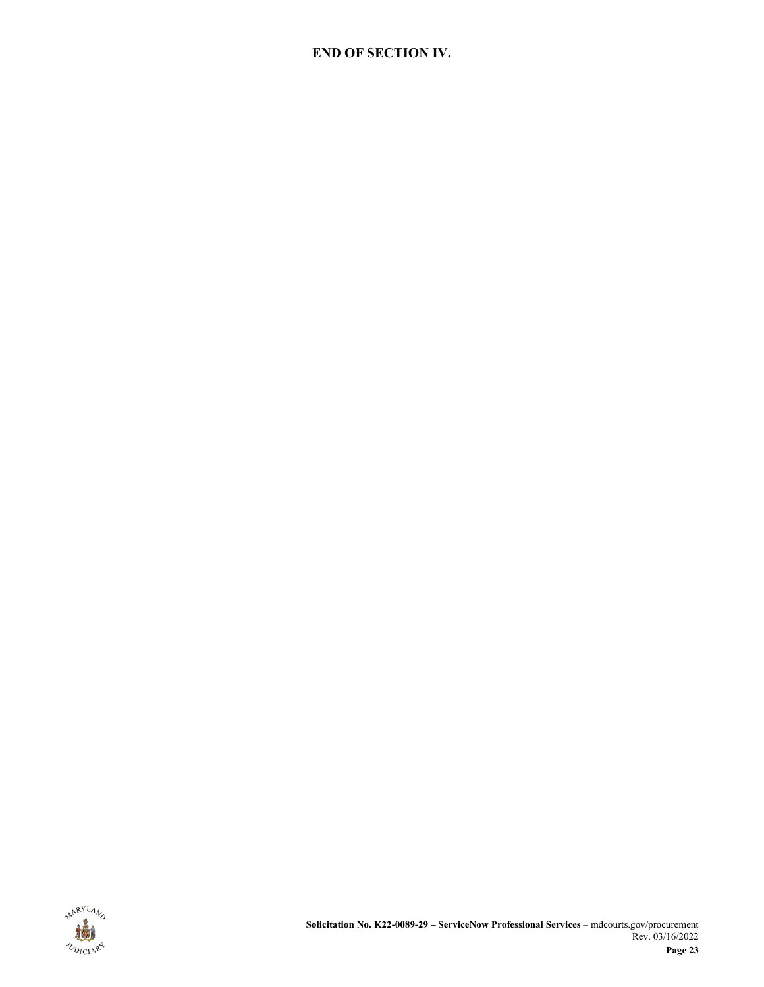### **END OF SECTION IV.**

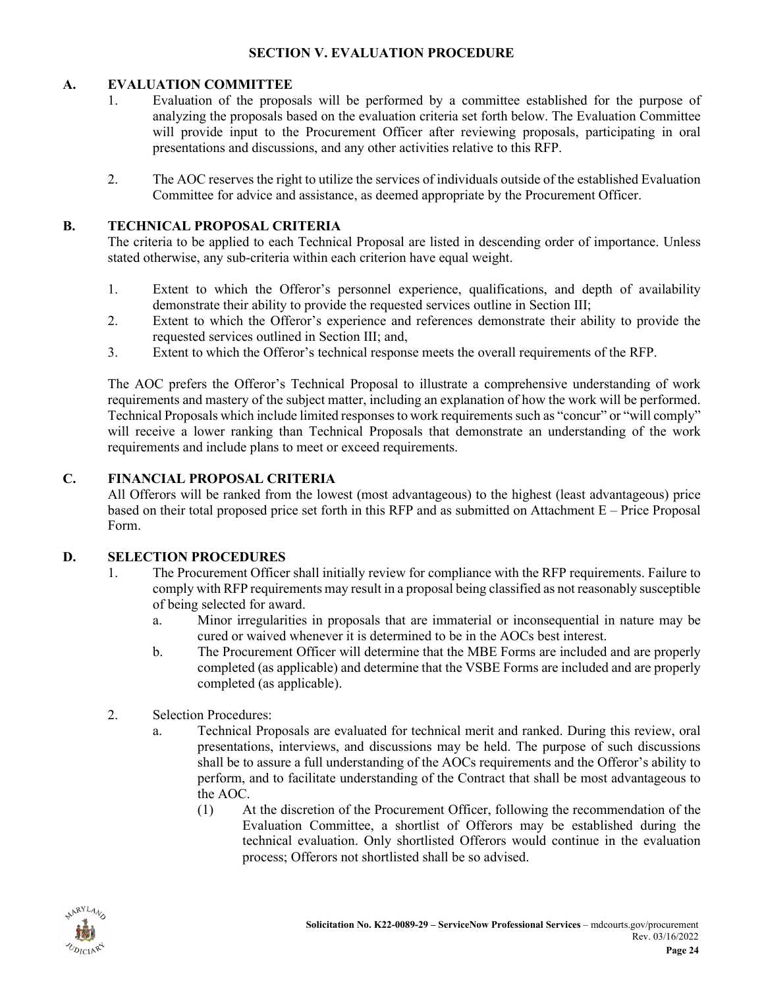#### **SECTION V. EVALUATION PROCEDURE**

#### <span id="page-23-1"></span><span id="page-23-0"></span>**A. EVALUATION COMMITTEE**

- 1. Evaluation of the proposals will be performed by a committee established for the purpose of analyzing the proposals based on the evaluation criteria set forth below. The Evaluation Committee will provide input to the Procurement Officer after reviewing proposals, participating in oral presentations and discussions, and any other activities relative to this RFP.
- 2. The AOC reserves the right to utilize the services of individuals outside of the established Evaluation Committee for advice and assistance, as deemed appropriate by the Procurement Officer.

### <span id="page-23-2"></span>**B. TECHNICAL PROPOSAL CRITERIA**

The criteria to be applied to each Technical Proposal are listed in descending order of importance. Unless stated otherwise, any sub-criteria within each criterion have equal weight.

- 1. Extent to which the Offeror's personnel experience, qualifications, and depth of availability demonstrate their ability to provide the requested services outline in Section III;
- 2. Extent to which the Offeror's experience and references demonstrate their ability to provide the requested services outlined in Section III; and,
- 3. Extent to which the Offeror's technical response meets the overall requirements of the RFP.

The AOC prefers the Offeror's Technical Proposal to illustrate a comprehensive understanding of work requirements and mastery of the subject matter, including an explanation of how the work will be performed. Technical Proposals which include limited responses to work requirements such as "concur" or "will comply" will receive a lower ranking than Technical Proposals that demonstrate an understanding of the work requirements and include plans to meet or exceed requirements.

#### <span id="page-23-3"></span>**C. FINANCIAL PROPOSAL CRITERIA**

All Offerors will be ranked from the lowest (most advantageous) to the highest (least advantageous) price based on their total proposed price set forth in this RFP and as submitted on Attachment E – Price Proposal Form.

#### <span id="page-23-4"></span>**D. SELECTION PROCEDURES**

- 1. The Procurement Officer shall initially review for compliance with the RFP requirements. Failure to comply with RFP requirements may result in a proposal being classified as not reasonably susceptible of being selected for award.
	- a. Minor irregularities in proposals that are immaterial or inconsequential in nature may be cured or waived whenever it is determined to be in the AOCs best interest.
	- b. The Procurement Officer will determine that the MBE Forms are included and are properly completed (as applicable) and determine that the VSBE Forms are included and are properly completed (as applicable).
- 2. Selection Procedures:
	- a. Technical Proposals are evaluated for technical merit and ranked. During this review, oral presentations, interviews, and discussions may be held. The purpose of such discussions shall be to assure a full understanding of the AOCs requirements and the Offeror's ability to perform, and to facilitate understanding of the Contract that shall be most advantageous to the AOC.
		- (1) At the discretion of the Procurement Officer, following the recommendation of the Evaluation Committee, a shortlist of Offerors may be established during the technical evaluation. Only shortlisted Offerors would continue in the evaluation process; Offerors not shortlisted shall be so advised.